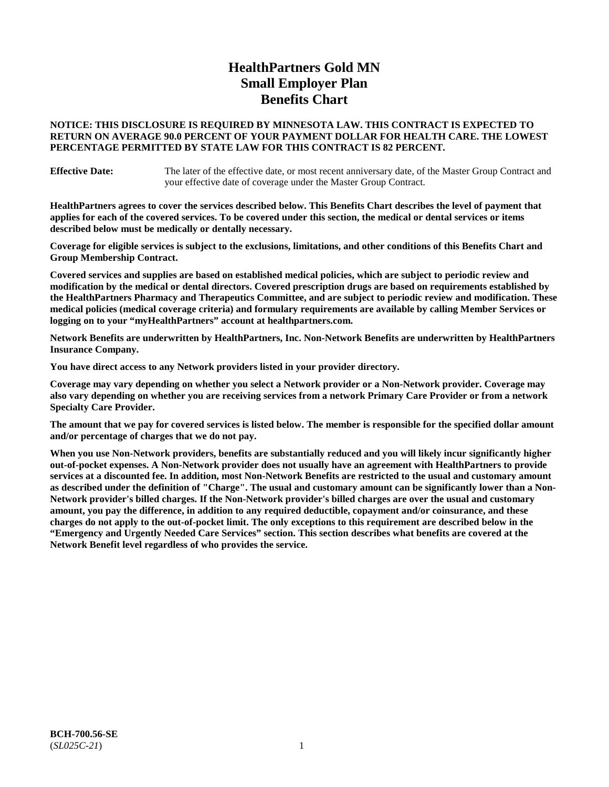# **HealthPartners Gold MN Small Employer Plan Benefits Chart**

### **NOTICE: THIS DISCLOSURE IS REQUIRED BY MINNESOTA LAW. THIS CONTRACT IS EXPECTED TO RETURN ON AVERAGE 90.0 PERCENT OF YOUR PAYMENT DOLLAR FOR HEALTH CARE. THE LOWEST PERCENTAGE PERMITTED BY STATE LAW FOR THIS CONTRACT IS 82 PERCENT.**

**Effective Date:** The later of the effective date, or most recent anniversary date, of the Master Group Contract and your effective date of coverage under the Master Group Contract.

**HealthPartners agrees to cover the services described below. This Benefits Chart describes the level of payment that applies for each of the covered services. To be covered under this section, the medical or dental services or items described below must be medically or dentally necessary.**

**Coverage for eligible services is subject to the exclusions, limitations, and other conditions of this Benefits Chart and Group Membership Contract.**

**Covered services and supplies are based on established medical policies, which are subject to periodic review and modification by the medical or dental directors. Covered prescription drugs are based on requirements established by the HealthPartners Pharmacy and Therapeutics Committee, and are subject to periodic review and modification. These medical policies (medical coverage criteria) and formulary requirements are available by calling Member Services or logging on to your "myHealthPartners" account at [healthpartners.com.](https://www.healthpartners.com/hp/index.html)**

**Network Benefits are underwritten by HealthPartners, Inc. Non-Network Benefits are underwritten by HealthPartners Insurance Company.** 

**You have direct access to any Network providers listed in your provider directory.**

**Coverage may vary depending on whether you select a Network provider or a Non-Network provider. Coverage may also vary depending on whether you are receiving services from a network Primary Care Provider or from a network Specialty Care Provider.**

**The amount that we pay for covered services is listed below. The member is responsible for the specified dollar amount and/or percentage of charges that we do not pay.**

**When you use Non-Network providers, benefits are substantially reduced and you will likely incur significantly higher out-of-pocket expenses. A Non-Network provider does not usually have an agreement with HealthPartners to provide services at a discounted fee. In addition, most Non-Network Benefits are restricted to the usual and customary amount as described under the definition of "Charge". The usual and customary amount can be significantly lower than a Non-Network provider's billed charges. If the Non-Network provider's billed charges are over the usual and customary amount, you pay the difference, in addition to any required deductible, copayment and/or coinsurance, and these charges do not apply to the out-of-pocket limit. The only exceptions to this requirement are described below in the "Emergency and Urgently Needed Care Services" section. This section describes what benefits are covered at the Network Benefit level regardless of who provides the service.**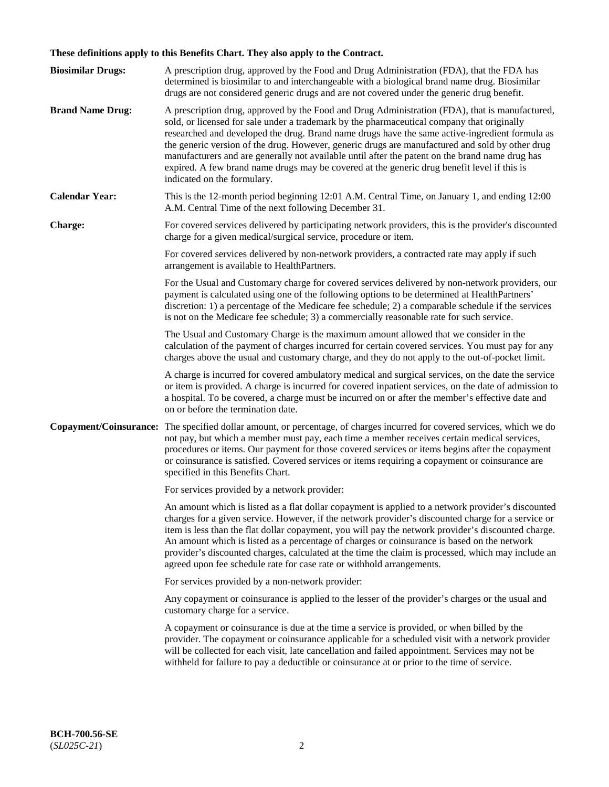# **These definitions apply to this Benefits Chart. They also apply to the Contract.**

| <b>Biosimilar Drugs:</b> | A prescription drug, approved by the Food and Drug Administration (FDA), that the FDA has<br>determined is biosimilar to and interchangeable with a biological brand name drug. Biosimilar<br>drugs are not considered generic drugs and are not covered under the generic drug benefit.                                                                                                                                                                                                                                                                                                                                           |
|--------------------------|------------------------------------------------------------------------------------------------------------------------------------------------------------------------------------------------------------------------------------------------------------------------------------------------------------------------------------------------------------------------------------------------------------------------------------------------------------------------------------------------------------------------------------------------------------------------------------------------------------------------------------|
| <b>Brand Name Drug:</b>  | A prescription drug, approved by the Food and Drug Administration (FDA), that is manufactured,<br>sold, or licensed for sale under a trademark by the pharmaceutical company that originally<br>researched and developed the drug. Brand name drugs have the same active-ingredient formula as<br>the generic version of the drug. However, generic drugs are manufactured and sold by other drug<br>manufacturers and are generally not available until after the patent on the brand name drug has<br>expired. A few brand name drugs may be covered at the generic drug benefit level if this is<br>indicated on the formulary. |
| <b>Calendar Year:</b>    | This is the 12-month period beginning 12:01 A.M. Central Time, on January 1, and ending 12:00<br>A.M. Central Time of the next following December 31.                                                                                                                                                                                                                                                                                                                                                                                                                                                                              |
| <b>Charge:</b>           | For covered services delivered by participating network providers, this is the provider's discounted<br>charge for a given medical/surgical service, procedure or item.                                                                                                                                                                                                                                                                                                                                                                                                                                                            |
|                          | For covered services delivered by non-network providers, a contracted rate may apply if such<br>arrangement is available to HealthPartners.                                                                                                                                                                                                                                                                                                                                                                                                                                                                                        |
|                          | For the Usual and Customary charge for covered services delivered by non-network providers, our<br>payment is calculated using one of the following options to be determined at HealthPartners'<br>discretion: 1) a percentage of the Medicare fee schedule; 2) a comparable schedule if the services<br>is not on the Medicare fee schedule; 3) a commercially reasonable rate for such service.                                                                                                                                                                                                                                  |
|                          | The Usual and Customary Charge is the maximum amount allowed that we consider in the<br>calculation of the payment of charges incurred for certain covered services. You must pay for any<br>charges above the usual and customary charge, and they do not apply to the out-of-pocket limit.                                                                                                                                                                                                                                                                                                                                       |
|                          | A charge is incurred for covered ambulatory medical and surgical services, on the date the service<br>or item is provided. A charge is incurred for covered inpatient services, on the date of admission to<br>a hospital. To be covered, a charge must be incurred on or after the member's effective date and<br>on or before the termination date.                                                                                                                                                                                                                                                                              |
| Copayment/Coinsurance:   | The specified dollar amount, or percentage, of charges incurred for covered services, which we do<br>not pay, but which a member must pay, each time a member receives certain medical services,<br>procedures or items. Our payment for those covered services or items begins after the copayment<br>or coinsurance is satisfied. Covered services or items requiring a copayment or coinsurance are<br>specified in this Benefits Chart.                                                                                                                                                                                        |
|                          | For services provided by a network provider:                                                                                                                                                                                                                                                                                                                                                                                                                                                                                                                                                                                       |
|                          | An amount which is listed as a flat dollar copayment is applied to a network provider's discounted<br>charges for a given service. However, if the network provider's discounted charge for a service or<br>item is less than the flat dollar copayment, you will pay the network provider's discounted charge.<br>An amount which is listed as a percentage of charges or coinsurance is based on the network<br>provider's discounted charges, calculated at the time the claim is processed, which may include an<br>agreed upon fee schedule rate for case rate or withhold arrangements.                                      |
|                          | For services provided by a non-network provider:                                                                                                                                                                                                                                                                                                                                                                                                                                                                                                                                                                                   |
|                          | Any copayment or coinsurance is applied to the lesser of the provider's charges or the usual and<br>customary charge for a service.                                                                                                                                                                                                                                                                                                                                                                                                                                                                                                |
|                          | A copayment or coinsurance is due at the time a service is provided, or when billed by the<br>provider. The copayment or coinsurance applicable for a scheduled visit with a network provider<br>will be collected for each visit, late cancellation and failed appointment. Services may not be<br>withheld for failure to pay a deductible or coinsurance at or prior to the time of service.                                                                                                                                                                                                                                    |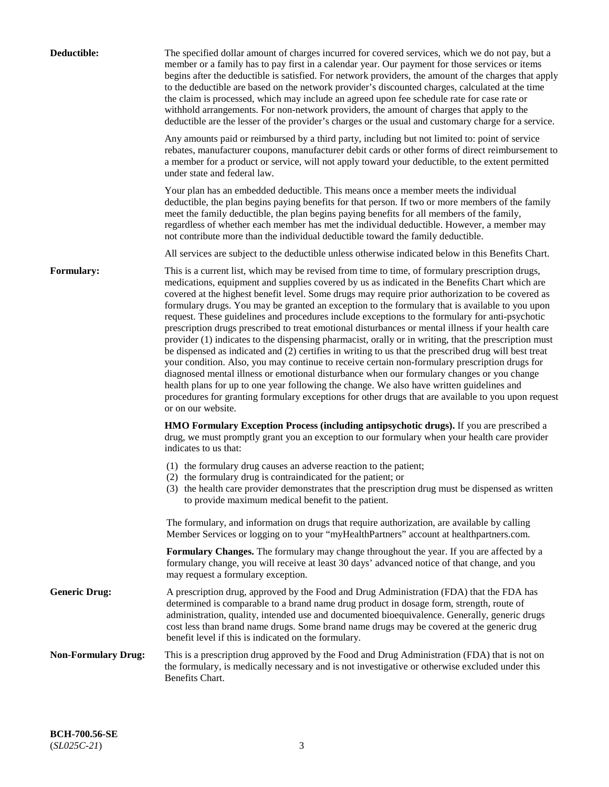| Deductible:                | The specified dollar amount of charges incurred for covered services, which we do not pay, but a<br>member or a family has to pay first in a calendar year. Our payment for those services or items<br>begins after the deductible is satisfied. For network providers, the amount of the charges that apply<br>to the deductible are based on the network provider's discounted charges, calculated at the time<br>the claim is processed, which may include an agreed upon fee schedule rate for case rate or<br>withhold arrangements. For non-network providers, the amount of charges that apply to the<br>deductible are the lesser of the provider's charges or the usual and customary charge for a service.                                                                                                                                                                                                                                                                                                                                                                                                                                                                                                                                             |
|----------------------------|------------------------------------------------------------------------------------------------------------------------------------------------------------------------------------------------------------------------------------------------------------------------------------------------------------------------------------------------------------------------------------------------------------------------------------------------------------------------------------------------------------------------------------------------------------------------------------------------------------------------------------------------------------------------------------------------------------------------------------------------------------------------------------------------------------------------------------------------------------------------------------------------------------------------------------------------------------------------------------------------------------------------------------------------------------------------------------------------------------------------------------------------------------------------------------------------------------------------------------------------------------------|
|                            | Any amounts paid or reimbursed by a third party, including but not limited to: point of service<br>rebates, manufacturer coupons, manufacturer debit cards or other forms of direct reimbursement to<br>a member for a product or service, will not apply toward your deductible, to the extent permitted<br>under state and federal law.                                                                                                                                                                                                                                                                                                                                                                                                                                                                                                                                                                                                                                                                                                                                                                                                                                                                                                                        |
|                            | Your plan has an embedded deductible. This means once a member meets the individual<br>deductible, the plan begins paying benefits for that person. If two or more members of the family<br>meet the family deductible, the plan begins paying benefits for all members of the family,<br>regardless of whether each member has met the individual deductible. However, a member may<br>not contribute more than the individual deductible toward the family deductible.                                                                                                                                                                                                                                                                                                                                                                                                                                                                                                                                                                                                                                                                                                                                                                                         |
|                            | All services are subject to the deductible unless otherwise indicated below in this Benefits Chart.                                                                                                                                                                                                                                                                                                                                                                                                                                                                                                                                                                                                                                                                                                                                                                                                                                                                                                                                                                                                                                                                                                                                                              |
| <b>Formulary:</b>          | This is a current list, which may be revised from time to time, of formulary prescription drugs,<br>medications, equipment and supplies covered by us as indicated in the Benefits Chart which are<br>covered at the highest benefit level. Some drugs may require prior authorization to be covered as<br>formulary drugs. You may be granted an exception to the formulary that is available to you upon<br>request. These guidelines and procedures include exceptions to the formulary for anti-psychotic<br>prescription drugs prescribed to treat emotional disturbances or mental illness if your health care<br>provider (1) indicates to the dispensing pharmacist, orally or in writing, that the prescription must<br>be dispensed as indicated and (2) certifies in writing to us that the prescribed drug will best treat<br>your condition. Also, you may continue to receive certain non-formulary prescription drugs for<br>diagnosed mental illness or emotional disturbance when our formulary changes or you change<br>health plans for up to one year following the change. We also have written guidelines and<br>procedures for granting formulary exceptions for other drugs that are available to you upon request<br>or on our website. |
|                            | <b>HMO Formulary Exception Process (including antipsychotic drugs).</b> If you are prescribed a<br>drug, we must promptly grant you an exception to our formulary when your health care provider<br>indicates to us that:                                                                                                                                                                                                                                                                                                                                                                                                                                                                                                                                                                                                                                                                                                                                                                                                                                                                                                                                                                                                                                        |
|                            | (1) the formulary drug causes an adverse reaction to the patient;<br>(2) the formulary drug is contraindicated for the patient; or<br>(3) the health care provider demonstrates that the prescription drug must be dispensed as written<br>to provide maximum medical benefit to the patient.                                                                                                                                                                                                                                                                                                                                                                                                                                                                                                                                                                                                                                                                                                                                                                                                                                                                                                                                                                    |
|                            | The formulary, and information on drugs that require authorization, are available by calling<br>Member Services or logging on to your "myHealthPartners" account at healthpartners.com.                                                                                                                                                                                                                                                                                                                                                                                                                                                                                                                                                                                                                                                                                                                                                                                                                                                                                                                                                                                                                                                                          |
|                            | Formulary Changes. The formulary may change throughout the year. If you are affected by a<br>formulary change, you will receive at least 30 days' advanced notice of that change, and you<br>may request a formulary exception.                                                                                                                                                                                                                                                                                                                                                                                                                                                                                                                                                                                                                                                                                                                                                                                                                                                                                                                                                                                                                                  |
| <b>Generic Drug:</b>       | A prescription drug, approved by the Food and Drug Administration (FDA) that the FDA has<br>determined is comparable to a brand name drug product in dosage form, strength, route of<br>administration, quality, intended use and documented bioequivalence. Generally, generic drugs<br>cost less than brand name drugs. Some brand name drugs may be covered at the generic drug<br>benefit level if this is indicated on the formulary.                                                                                                                                                                                                                                                                                                                                                                                                                                                                                                                                                                                                                                                                                                                                                                                                                       |
| <b>Non-Formulary Drug:</b> | This is a prescription drug approved by the Food and Drug Administration (FDA) that is not on<br>the formulary, is medically necessary and is not investigative or otherwise excluded under this<br>Benefits Chart.                                                                                                                                                                                                                                                                                                                                                                                                                                                                                                                                                                                                                                                                                                                                                                                                                                                                                                                                                                                                                                              |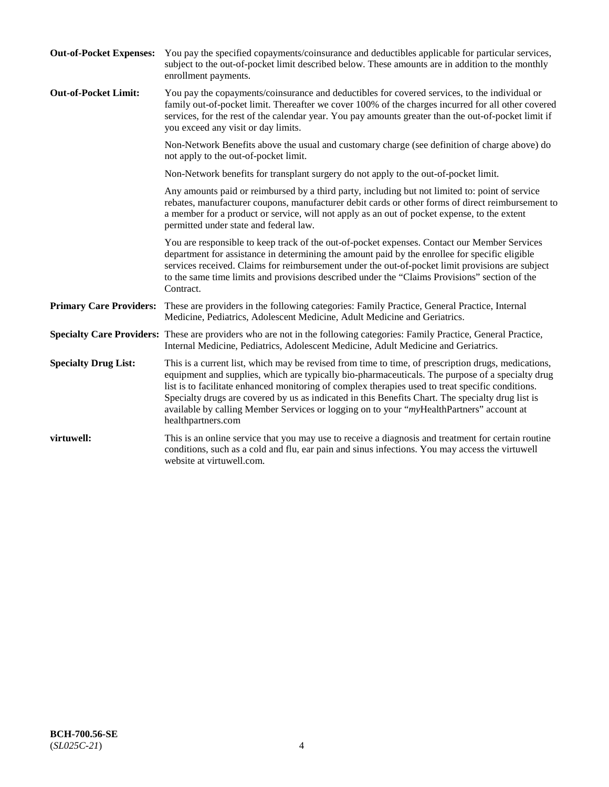| <b>Out-of-Pocket Expenses:</b> | You pay the specified copayments/coinsurance and deductibles applicable for particular services,<br>subject to the out-of-pocket limit described below. These amounts are in addition to the monthly<br>enrollment payments.                                                                                                                                                                                                                                                                                                        |
|--------------------------------|-------------------------------------------------------------------------------------------------------------------------------------------------------------------------------------------------------------------------------------------------------------------------------------------------------------------------------------------------------------------------------------------------------------------------------------------------------------------------------------------------------------------------------------|
| <b>Out-of-Pocket Limit:</b>    | You pay the copayments/coinsurance and deductibles for covered services, to the individual or<br>family out-of-pocket limit. Thereafter we cover 100% of the charges incurred for all other covered<br>services, for the rest of the calendar year. You pay amounts greater than the out-of-pocket limit if<br>you exceed any visit or day limits.                                                                                                                                                                                  |
|                                | Non-Network Benefits above the usual and customary charge (see definition of charge above) do<br>not apply to the out-of-pocket limit.                                                                                                                                                                                                                                                                                                                                                                                              |
|                                | Non-Network benefits for transplant surgery do not apply to the out-of-pocket limit.                                                                                                                                                                                                                                                                                                                                                                                                                                                |
|                                | Any amounts paid or reimbursed by a third party, including but not limited to: point of service<br>rebates, manufacturer coupons, manufacturer debit cards or other forms of direct reimbursement to<br>a member for a product or service, will not apply as an out of pocket expense, to the extent<br>permitted under state and federal law.                                                                                                                                                                                      |
|                                | You are responsible to keep track of the out-of-pocket expenses. Contact our Member Services<br>department for assistance in determining the amount paid by the enrollee for specific eligible<br>services received. Claims for reimbursement under the out-of-pocket limit provisions are subject<br>to the same time limits and provisions described under the "Claims Provisions" section of the<br>Contract.                                                                                                                    |
| <b>Primary Care Providers:</b> | These are providers in the following categories: Family Practice, General Practice, Internal<br>Medicine, Pediatrics, Adolescent Medicine, Adult Medicine and Geriatrics.                                                                                                                                                                                                                                                                                                                                                           |
|                                | Specialty Care Providers: These are providers who are not in the following categories: Family Practice, General Practice,<br>Internal Medicine, Pediatrics, Adolescent Medicine, Adult Medicine and Geriatrics.                                                                                                                                                                                                                                                                                                                     |
| <b>Specialty Drug List:</b>    | This is a current list, which may be revised from time to time, of prescription drugs, medications,<br>equipment and supplies, which are typically bio-pharmaceuticals. The purpose of a specialty drug<br>list is to facilitate enhanced monitoring of complex therapies used to treat specific conditions.<br>Specialty drugs are covered by us as indicated in this Benefits Chart. The specialty drug list is<br>available by calling Member Services or logging on to your "myHealthPartners" account at<br>healthpartners.com |
| virtuwell:                     | This is an online service that you may use to receive a diagnosis and treatment for certain routine<br>conditions, such as a cold and flu, ear pain and sinus infections. You may access the virtuwell<br>website at virtuwell.com.                                                                                                                                                                                                                                                                                                 |
|                                |                                                                                                                                                                                                                                                                                                                                                                                                                                                                                                                                     |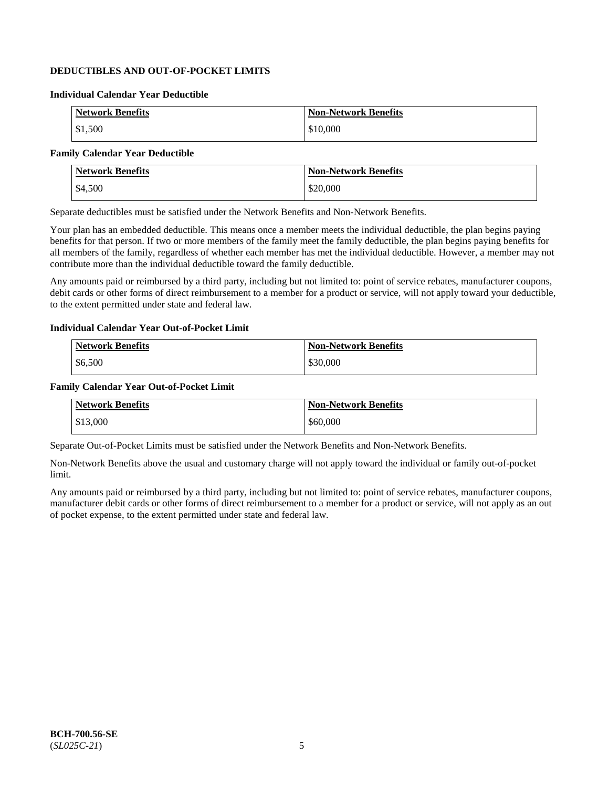## **DEDUCTIBLES AND OUT-OF-POCKET LIMITS**

#### **Individual Calendar Year Deductible**

| <b>Network Benefits</b> | <b>Non-Network Benefits</b> |
|-------------------------|-----------------------------|
| \$1,500                 | \$10,000                    |

### **Family Calendar Year Deductible**

| <b>Network Benefits</b> | <b>Non-Network Benefits</b> |
|-------------------------|-----------------------------|
| \$4,500                 | \$20,000                    |

Separate deductibles must be satisfied under the Network Benefits and Non-Network Benefits.

Your plan has an embedded deductible. This means once a member meets the individual deductible, the plan begins paying benefits for that person. If two or more members of the family meet the family deductible, the plan begins paying benefits for all members of the family, regardless of whether each member has met the individual deductible. However, a member may not contribute more than the individual deductible toward the family deductible.

Any amounts paid or reimbursed by a third party, including but not limited to: point of service rebates, manufacturer coupons, debit cards or other forms of direct reimbursement to a member for a product or service, will not apply toward your deductible, to the extent permitted under state and federal law.

#### **Individual Calendar Year Out-of-Pocket Limit**

| <b>Network Benefits</b> | <b>Non-Network Benefits</b> |
|-------------------------|-----------------------------|
| \$6,500                 | \$30,000                    |

#### **Family Calendar Year Out-of-Pocket Limit**

| <b>Network Benefits</b> | <b>Non-Network Benefits</b> |
|-------------------------|-----------------------------|
| \$13,000                | \$60,000                    |

Separate Out-of-Pocket Limits must be satisfied under the Network Benefits and Non-Network Benefits.

Non-Network Benefits above the usual and customary charge will not apply toward the individual or family out-of-pocket limit.

Any amounts paid or reimbursed by a third party, including but not limited to: point of service rebates, manufacturer coupons, manufacturer debit cards or other forms of direct reimbursement to a member for a product or service, will not apply as an out of pocket expense, to the extent permitted under state and federal law.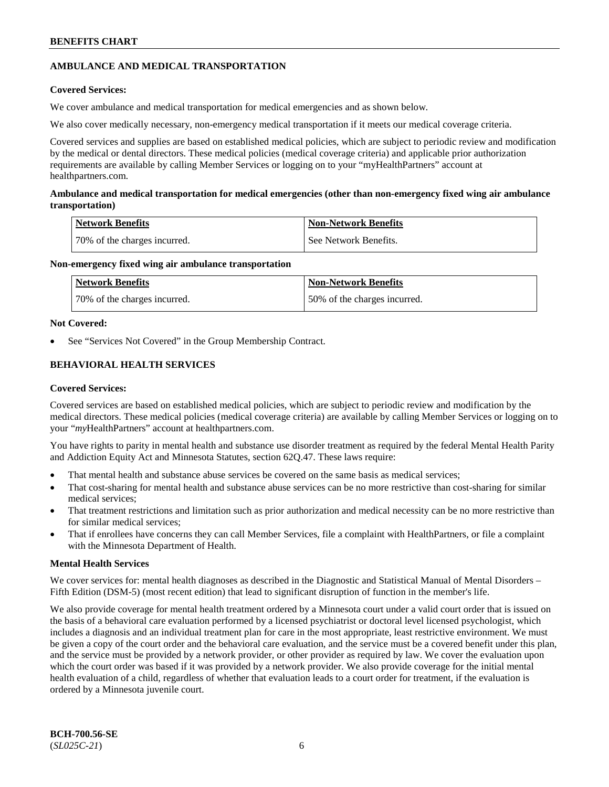## **AMBULANCE AND MEDICAL TRANSPORTATION**

### **Covered Services:**

We cover ambulance and medical transportation for medical emergencies and as shown below.

We also cover medically necessary, non-emergency medical transportation if it meets our medical coverage criteria.

Covered services and supplies are based on established medical policies, which are subject to periodic review and modification by the medical or dental directors. These medical policies (medical coverage criteria) and applicable prior authorization requirements are available by calling Member Services or logging on to your "myHealthPartners" account at [healthpartners.com.](https://www.healthpartners.com/hp/index.html)

### **Ambulance and medical transportation for medical emergencies (other than non-emergency fixed wing air ambulance transportation)**

| Network Benefits             | <b>Non-Network Benefits</b> |
|------------------------------|-----------------------------|
| 70% of the charges incurred. | See Network Benefits.       |

### **Non-emergency fixed wing air ambulance transportation**

| Network Benefits             | <b>Non-Network Benefits</b>  |
|------------------------------|------------------------------|
| 70% of the charges incurred. | 50% of the charges incurred. |

### **Not Covered:**

See "Services Not Covered" in the Group Membership Contract.

## **BEHAVIORAL HEALTH SERVICES**

### **Covered Services:**

Covered services are based on established medical policies, which are subject to periodic review and modification by the medical directors. These medical policies (medical coverage criteria) are available by calling Member Services or logging on to your "*my*HealthPartners" account at [healthpartners.com.](http://www.healthpartners.com/)

You have rights to parity in mental health and substance use disorder treatment as required by the federal Mental Health Parity and Addiction Equity Act and Minnesota Statutes, section 62Q.47. These laws require:

- That mental health and substance abuse services be covered on the same basis as medical services;
- That cost-sharing for mental health and substance abuse services can be no more restrictive than cost-sharing for similar medical services;
- That treatment restrictions and limitation such as prior authorization and medical necessity can be no more restrictive than for similar medical services;
- That if enrollees have concerns they can call Member Services, file a complaint with HealthPartners, or file a complaint with the Minnesota Department of Health.

### **Mental Health Services**

We cover services for: mental health diagnoses as described in the Diagnostic and Statistical Manual of Mental Disorders – Fifth Edition (DSM-5) (most recent edition) that lead to significant disruption of function in the member's life.

We also provide coverage for mental health treatment ordered by a Minnesota court under a valid court order that is issued on the basis of a behavioral care evaluation performed by a licensed psychiatrist or doctoral level licensed psychologist, which includes a diagnosis and an individual treatment plan for care in the most appropriate, least restrictive environment. We must be given a copy of the court order and the behavioral care evaluation, and the service must be a covered benefit under this plan, and the service must be provided by a network provider, or other provider as required by law. We cover the evaluation upon which the court order was based if it was provided by a network provider. We also provide coverage for the initial mental health evaluation of a child, regardless of whether that evaluation leads to a court order for treatment, if the evaluation is ordered by a Minnesota juvenile court.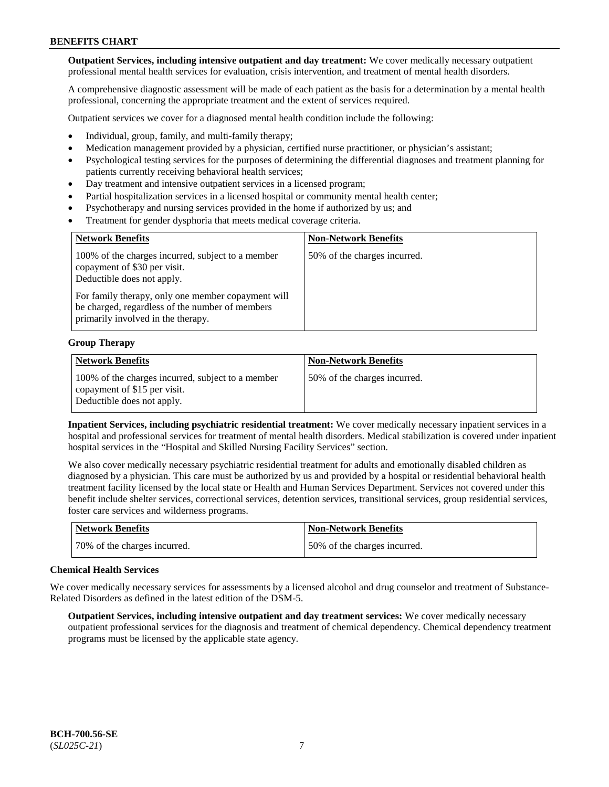**Outpatient Services, including intensive outpatient and day treatment:** We cover medically necessary outpatient professional mental health services for evaluation, crisis intervention, and treatment of mental health disorders.

A comprehensive diagnostic assessment will be made of each patient as the basis for a determination by a mental health professional, concerning the appropriate treatment and the extent of services required.

Outpatient services we cover for a diagnosed mental health condition include the following:

- Individual, group, family, and multi-family therapy;
- Medication management provided by a physician, certified nurse practitioner, or physician's assistant;
- Psychological testing services for the purposes of determining the differential diagnoses and treatment planning for patients currently receiving behavioral health services;
- Day treatment and intensive outpatient services in a licensed program;
- Partial hospitalization services in a licensed hospital or community mental health center;
- Psychotherapy and nursing services provided in the home if authorized by us; and
- Treatment for gender dysphoria that meets medical coverage criteria.

| <b>Network Benefits</b>                                                                                                                     | <b>Non-Network Benefits</b>  |
|---------------------------------------------------------------------------------------------------------------------------------------------|------------------------------|
| 100% of the charges incurred, subject to a member<br>copayment of \$30 per visit.<br>Deductible does not apply.                             | 50% of the charges incurred. |
| For family therapy, only one member copayment will<br>be charged, regardless of the number of members<br>primarily involved in the therapy. |                              |

#### **Group Therapy**

| <b>Network Benefits</b>                                                                                         | <b>Non-Network Benefits</b>  |
|-----------------------------------------------------------------------------------------------------------------|------------------------------|
| 100% of the charges incurred, subject to a member<br>copayment of \$15 per visit.<br>Deductible does not apply. | 50% of the charges incurred. |

**Inpatient Services, including psychiatric residential treatment:** We cover medically necessary inpatient services in a hospital and professional services for treatment of mental health disorders. Medical stabilization is covered under inpatient hospital services in the "Hospital and Skilled Nursing Facility Services" section.

We also cover medically necessary psychiatric residential treatment for adults and emotionally disabled children as diagnosed by a physician. This care must be authorized by us and provided by a hospital or residential behavioral health treatment facility licensed by the local state or Health and Human Services Department. Services not covered under this benefit include shelter services, correctional services, detention services, transitional services, group residential services, foster care services and wilderness programs.

| <b>Network Benefits</b>      | Non-Network Benefits          |
|------------------------------|-------------------------------|
| 70% of the charges incurred. | 150% of the charges incurred. |

#### **Chemical Health Services**

We cover medically necessary services for assessments by a licensed alcohol and drug counselor and treatment of Substance-Related Disorders as defined in the latest edition of the DSM-5.

**Outpatient Services, including intensive outpatient and day treatment services:** We cover medically necessary outpatient professional services for the diagnosis and treatment of chemical dependency. Chemical dependency treatment programs must be licensed by the applicable state agency.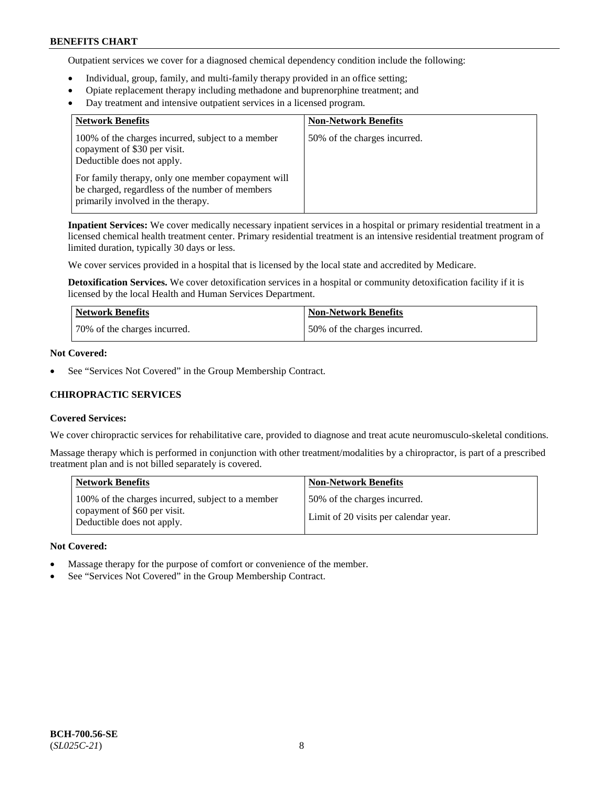Outpatient services we cover for a diagnosed chemical dependency condition include the following:

- Individual, group, family, and multi-family therapy provided in an office setting;
- Opiate replacement therapy including methadone and buprenorphine treatment; and
- Day treatment and intensive outpatient services in a licensed program.

| <b>Network Benefits</b>                                                                                                                     | <b>Non-Network Benefits</b>  |
|---------------------------------------------------------------------------------------------------------------------------------------------|------------------------------|
| 100% of the charges incurred, subject to a member<br>copayment of \$30 per visit.<br>Deductible does not apply.                             | 50% of the charges incurred. |
| For family therapy, only one member copayment will<br>be charged, regardless of the number of members<br>primarily involved in the therapy. |                              |

**Inpatient Services:** We cover medically necessary inpatient services in a hospital or primary residential treatment in a licensed chemical health treatment center. Primary residential treatment is an intensive residential treatment program of limited duration, typically 30 days or less.

We cover services provided in a hospital that is licensed by the local state and accredited by Medicare.

**Detoxification Services.** We cover detoxification services in a hospital or community detoxification facility if it is licensed by the local Health and Human Services Department.

| <b>Network Benefits</b>      | <b>Non-Network Benefits</b>  |
|------------------------------|------------------------------|
| 70% of the charges incurred. | 50% of the charges incurred. |

### **Not Covered:**

See "Services Not Covered" in the Group Membership Contract.

### **CHIROPRACTIC SERVICES**

#### **Covered Services:**

We cover chiropractic services for rehabilitative care, provided to diagnose and treat acute neuromusculo-skeletal conditions.

Massage therapy which is performed in conjunction with other treatment/modalities by a chiropractor, is part of a prescribed treatment plan and is not billed separately is covered.

| <b>Network Benefits</b>                                                                                         | <b>Non-Network Benefits</b>                                           |
|-----------------------------------------------------------------------------------------------------------------|-----------------------------------------------------------------------|
| 100% of the charges incurred, subject to a member<br>copayment of \$60 per visit.<br>Deductible does not apply. | 50% of the charges incurred.<br>Limit of 20 visits per calendar year. |

#### **Not Covered:**

- Massage therapy for the purpose of comfort or convenience of the member.
- See "Services Not Covered" in the Group Membership Contract.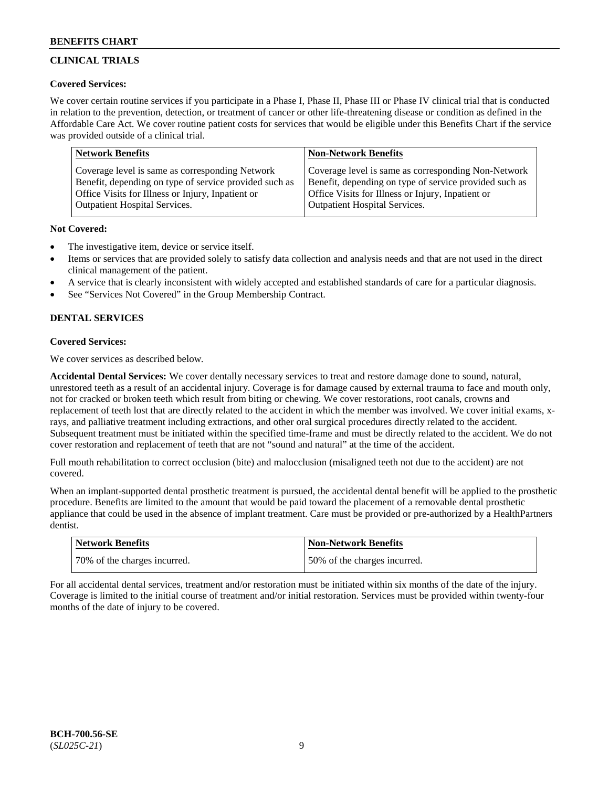## **CLINICAL TRIALS**

### **Covered Services:**

We cover certain routine services if you participate in a Phase I, Phase II, Phase III or Phase IV clinical trial that is conducted in relation to the prevention, detection, or treatment of cancer or other life-threatening disease or condition as defined in the Affordable Care Act. We cover routine patient costs for services that would be eligible under this Benefits Chart if the service was provided outside of a clinical trial.

| <b>Network Benefits</b>                                | <b>Non-Network Benefits</b>                            |
|--------------------------------------------------------|--------------------------------------------------------|
| Coverage level is same as corresponding Network        | Coverage level is same as corresponding Non-Network    |
| Benefit, depending on type of service provided such as | Benefit, depending on type of service provided such as |
| Office Visits for Illness or Injury, Inpatient or      | Office Visits for Illness or Injury, Inpatient or      |
| <b>Outpatient Hospital Services.</b>                   | Outpatient Hospital Services.                          |

### **Not Covered:**

- The investigative item, device or service itself.
- Items or services that are provided solely to satisfy data collection and analysis needs and that are not used in the direct clinical management of the patient.
- A service that is clearly inconsistent with widely accepted and established standards of care for a particular diagnosis.
- See "Services Not Covered" in the Group Membership Contract.

## **DENTAL SERVICES**

## **Covered Services:**

We cover services as described below.

**Accidental Dental Services:** We cover dentally necessary services to treat and restore damage done to sound, natural, unrestored teeth as a result of an accidental injury. Coverage is for damage caused by external trauma to face and mouth only, not for cracked or broken teeth which result from biting or chewing. We cover restorations, root canals, crowns and replacement of teeth lost that are directly related to the accident in which the member was involved. We cover initial exams, xrays, and palliative treatment including extractions, and other oral surgical procedures directly related to the accident. Subsequent treatment must be initiated within the specified time-frame and must be directly related to the accident. We do not cover restoration and replacement of teeth that are not "sound and natural" at the time of the accident.

Full mouth rehabilitation to correct occlusion (bite) and malocclusion (misaligned teeth not due to the accident) are not covered.

When an implant-supported dental prosthetic treatment is pursued, the accidental dental benefit will be applied to the prosthetic procedure. Benefits are limited to the amount that would be paid toward the placement of a removable dental prosthetic appliance that could be used in the absence of implant treatment. Care must be provided or pre-authorized by a HealthPartners dentist.

| <b>Network Benefits</b>      | <b>Non-Network Benefits</b>  |
|------------------------------|------------------------------|
| 70% of the charges incurred. | 50% of the charges incurred. |

For all accidental dental services, treatment and/or restoration must be initiated within six months of the date of the injury. Coverage is limited to the initial course of treatment and/or initial restoration. Services must be provided within twenty-four months of the date of injury to be covered.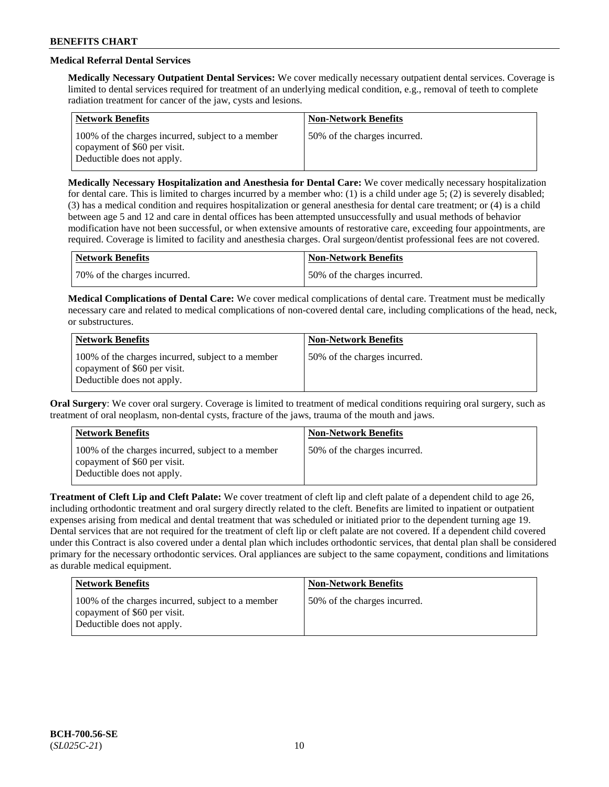## **Medical Referral Dental Services**

**Medically Necessary Outpatient Dental Services:** We cover medically necessary outpatient dental services. Coverage is limited to dental services required for treatment of an underlying medical condition, e.g., removal of teeth to complete radiation treatment for cancer of the jaw, cysts and lesions.

| <b>Network Benefits</b>                                                                                         | <b>Non-Network Benefits</b>  |
|-----------------------------------------------------------------------------------------------------------------|------------------------------|
| 100% of the charges incurred, subject to a member<br>copayment of \$60 per visit.<br>Deductible does not apply. | 50% of the charges incurred. |

**Medically Necessary Hospitalization and Anesthesia for Dental Care:** We cover medically necessary hospitalization for dental care. This is limited to charges incurred by a member who: (1) is a child under age  $5$ ; (2) is severely disabled; (3) has a medical condition and requires hospitalization or general anesthesia for dental care treatment; or (4) is a child between age 5 and 12 and care in dental offices has been attempted unsuccessfully and usual methods of behavior modification have not been successful, or when extensive amounts of restorative care, exceeding four appointments, are required. Coverage is limited to facility and anesthesia charges. Oral surgeon/dentist professional fees are not covered.

| Network Benefits             | <b>Non-Network Benefits</b>  |
|------------------------------|------------------------------|
| 70% of the charges incurred. | 50% of the charges incurred. |

**Medical Complications of Dental Care:** We cover medical complications of dental care. Treatment must be medically necessary care and related to medical complications of non-covered dental care, including complications of the head, neck, or substructures.

| <b>Network Benefits</b>                                                                                         | <b>Non-Network Benefits</b>  |
|-----------------------------------------------------------------------------------------------------------------|------------------------------|
| 100% of the charges incurred, subject to a member<br>copayment of \$60 per visit.<br>Deductible does not apply. | 50% of the charges incurred. |

**Oral Surgery**: We cover oral surgery. Coverage is limited to treatment of medical conditions requiring oral surgery, such as treatment of oral neoplasm, non-dental cysts, fracture of the jaws, trauma of the mouth and jaws.

| <b>Network Benefits</b>                                                                                         | <b>Non-Network Benefits</b>  |
|-----------------------------------------------------------------------------------------------------------------|------------------------------|
| 100% of the charges incurred, subject to a member<br>copayment of \$60 per visit.<br>Deductible does not apply. | 50% of the charges incurred. |

**Treatment of Cleft Lip and Cleft Palate:** We cover treatment of cleft lip and cleft palate of a dependent child to age 26, including orthodontic treatment and oral surgery directly related to the cleft. Benefits are limited to inpatient or outpatient expenses arising from medical and dental treatment that was scheduled or initiated prior to the dependent turning age 19. Dental services that are not required for the treatment of cleft lip or cleft palate are not covered. If a dependent child covered under this Contract is also covered under a dental plan which includes orthodontic services, that dental plan shall be considered primary for the necessary orthodontic services. Oral appliances are subject to the same copayment, conditions and limitations as durable medical equipment.

| Network Benefits                                                                                                | <b>Non-Network Benefits</b>  |
|-----------------------------------------------------------------------------------------------------------------|------------------------------|
| 100% of the charges incurred, subject to a member<br>copayment of \$60 per visit.<br>Deductible does not apply. | 50% of the charges incurred. |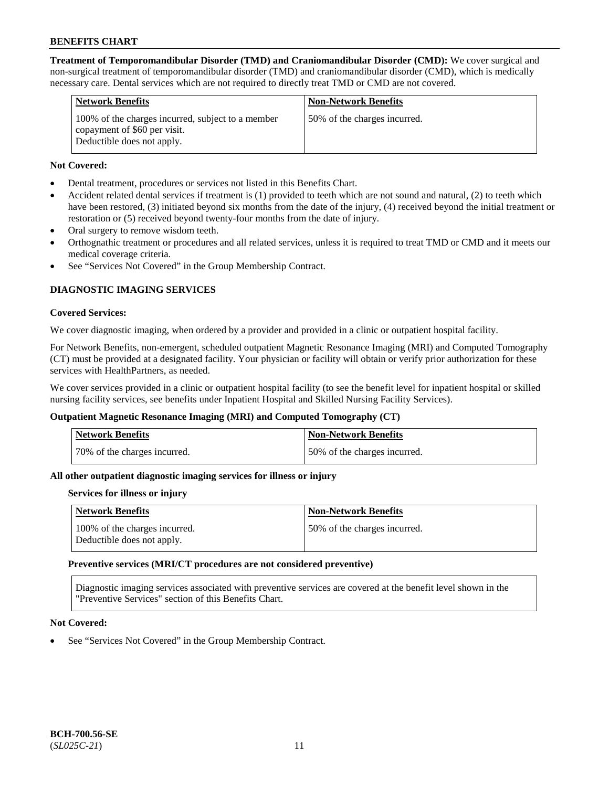**Treatment of Temporomandibular Disorder (TMD) and Craniomandibular Disorder (CMD):** We cover surgical and non-surgical treatment of temporomandibular disorder (TMD) and craniomandibular disorder (CMD), which is medically necessary care. Dental services which are not required to directly treat TMD or CMD are not covered.

| <b>Network Benefits</b>                                                                                         | <b>Non-Network Benefits</b>  |
|-----------------------------------------------------------------------------------------------------------------|------------------------------|
| 100% of the charges incurred, subject to a member<br>copayment of \$60 per visit.<br>Deductible does not apply. | 50% of the charges incurred. |

### **Not Covered:**

- Dental treatment, procedures or services not listed in this Benefits Chart.
- Accident related dental services if treatment is (1) provided to teeth which are not sound and natural, (2) to teeth which have been restored, (3) initiated beyond six months from the date of the injury, (4) received beyond the initial treatment or restoration or (5) received beyond twenty-four months from the date of injury.
- Oral surgery to remove wisdom teeth.
- Orthognathic treatment or procedures and all related services, unless it is required to treat TMD or CMD and it meets our medical coverage criteria.
- See "Services Not Covered" in the Group Membership Contract.

## **DIAGNOSTIC IMAGING SERVICES**

#### **Covered Services:**

We cover diagnostic imaging, when ordered by a provider and provided in a clinic or outpatient hospital facility.

For Network Benefits, non-emergent, scheduled outpatient Magnetic Resonance Imaging (MRI) and Computed Tomography (CT) must be provided at a designated facility. Your physician or facility will obtain or verify prior authorization for these services with HealthPartners, as needed.

We cover services provided in a clinic or outpatient hospital facility (to see the benefit level for inpatient hospital or skilled nursing facility services, see benefits under Inpatient Hospital and Skilled Nursing Facility Services).

### **Outpatient Magnetic Resonance Imaging (MRI) and Computed Tomography (CT)**

| Network Benefits             | <b>Non-Network Benefits</b>  |
|------------------------------|------------------------------|
| 70% of the charges incurred. | 50% of the charges incurred. |

### **All other outpatient diagnostic imaging services for illness or injury**

#### **Services for illness or injury**

| <b>Network Benefits</b>                                     | <b>Non-Network Benefits</b>  |
|-------------------------------------------------------------|------------------------------|
| 100% of the charges incurred.<br>Deductible does not apply. | 50% of the charges incurred. |

#### **Preventive services (MRI/CT procedures are not considered preventive)**

Diagnostic imaging services associated with preventive services are covered at the benefit level shown in the "Preventive Services" section of this Benefits Chart.

#### **Not Covered:**

See "Services Not Covered" in the Group Membership Contract.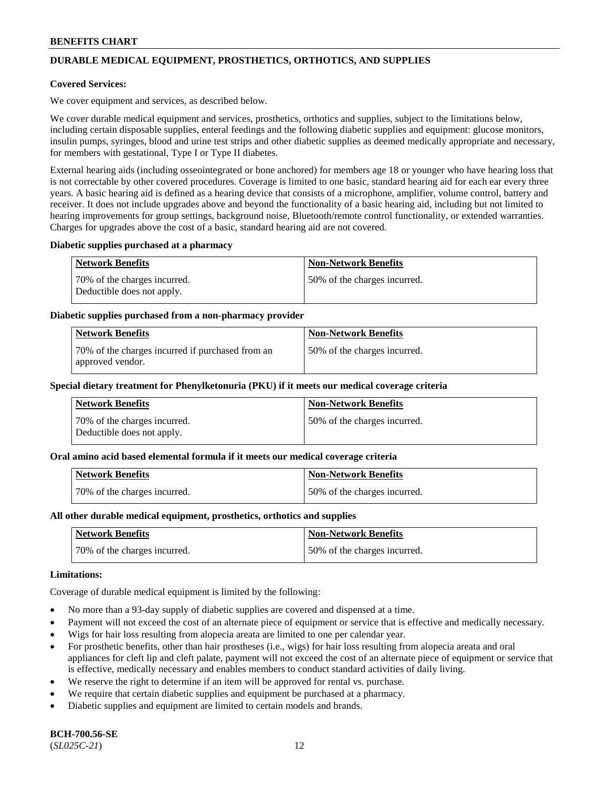## **DURABLE MEDICAL EQUIPMENT, PROSTHETICS, ORTHOTICS, AND SUPPLIES**

#### **Covered Services:**

We cover equipment and services, as described below.

We cover durable medical equipment and services, prosthetics, orthotics and supplies, subject to the limitations below, including certain disposable supplies, enteral feedings and the following diabetic supplies and equipment: glucose monitors, insulin pumps, syringes, blood and urine test strips and other diabetic supplies as deemed medically appropriate and necessary, for members with gestational, Type I or Type II diabetes.

External hearing aids (including osseointegrated or bone anchored) for members age 18 or younger who have hearing loss that is not correctable by other covered procedures. Coverage is limited to one basic, standard hearing aid for each ear every three years. A basic hearing aid is defined as a hearing device that consists of a microphone, amplifier, volume control, battery and receiver. It does not include upgrades above and beyond the functionality of a basic hearing aid, including but not limited to hearing improvements for group settings, background noise, Bluetooth/remote control functionality, or extended warranties. Charges for upgrades above the cost of a basic, standard hearing aid are not covered.

#### **Diabetic supplies purchased at a pharmacy**

| <b>Network Benefits</b>                                    | <b>Non-Network Benefits</b>  |
|------------------------------------------------------------|------------------------------|
| 70% of the charges incurred.<br>Deductible does not apply. | 50% of the charges incurred. |

#### **Diabetic supplies purchased from a non-pharmacy provider**

| <b>Network Benefits</b>                                              | <b>Non-Network Benefits</b>  |
|----------------------------------------------------------------------|------------------------------|
| 70% of the charges incurred if purchased from an<br>approved vendor. | 50% of the charges incurred. |

#### **Special dietary treatment for Phenylketonuria (PKU) if it meets our medical coverage criteria**

| Network Benefits                                           | <b>Non-Network Benefits</b>   |
|------------------------------------------------------------|-------------------------------|
| 70% of the charges incurred.<br>Deductible does not apply. | 150% of the charges incurred. |

#### **Oral amino acid based elemental formula if it meets our medical coverage criteria**

| <b>Network Benefits</b>      | <b>Non-Network Benefits</b>  |
|------------------------------|------------------------------|
| 70% of the charges incurred. | 50% of the charges incurred. |

#### **All other durable medical equipment, prosthetics, orthotics and supplies**

| Network Benefits             | <b>Non-Network Benefits</b>  |
|------------------------------|------------------------------|
| 70% of the charges incurred. | 50% of the charges incurred. |

#### **Limitations:**

Coverage of durable medical equipment is limited by the following:

- No more than a 93-day supply of diabetic supplies are covered and dispensed at a time.
- Payment will not exceed the cost of an alternate piece of equipment or service that is effective and medically necessary.
- Wigs for hair loss resulting from alopecia areata are limited to one per calendar year.
- For prosthetic benefits, other than hair prostheses (i.e., wigs) for hair loss resulting from alopecia areata and oral appliances for cleft lip and cleft palate, payment will not exceed the cost of an alternate piece of equipment or service that is effective, medically necessary and enables members to conduct standard activities of daily living.
- We reserve the right to determine if an item will be approved for rental vs. purchase.
- We require that certain diabetic supplies and equipment be purchased at a pharmacy.
- Diabetic supplies and equipment are limited to certain models and brands.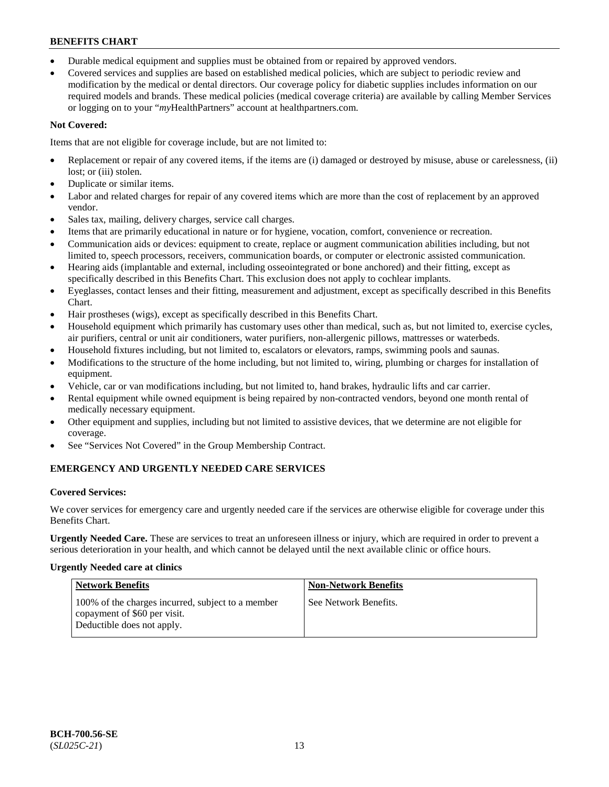- Durable medical equipment and supplies must be obtained from or repaired by approved vendors.
- Covered services and supplies are based on established medical policies, which are subject to periodic review and modification by the medical or dental directors. Our coverage policy for diabetic supplies includes information on our required models and brands. These medical policies (medical coverage criteria) are available by calling Member Services or logging on to your "*my*HealthPartners" account a[t healthpartners.com.](https://www.healthpartners.com/hp/index.html)

## **Not Covered:**

Items that are not eligible for coverage include, but are not limited to:

- Replacement or repair of any covered items, if the items are (i) damaged or destroyed by misuse, abuse or carelessness, (ii) lost; or (iii) stolen.
- Duplicate or similar items.
- Labor and related charges for repair of any covered items which are more than the cost of replacement by an approved vendor.
- Sales tax, mailing, delivery charges, service call charges.
- Items that are primarily educational in nature or for hygiene, vocation, comfort, convenience or recreation.
- Communication aids or devices: equipment to create, replace or augment communication abilities including, but not limited to, speech processors, receivers, communication boards, or computer or electronic assisted communication.
- Hearing aids (implantable and external, including osseointegrated or bone anchored) and their fitting, except as specifically described in this Benefits Chart. This exclusion does not apply to cochlear implants.
- Eyeglasses, contact lenses and their fitting, measurement and adjustment, except as specifically described in this Benefits Chart.
- Hair prostheses (wigs), except as specifically described in this Benefits Chart.
- Household equipment which primarily has customary uses other than medical, such as, but not limited to, exercise cycles, air purifiers, central or unit air conditioners, water purifiers, non-allergenic pillows, mattresses or waterbeds.
- Household fixtures including, but not limited to, escalators or elevators, ramps, swimming pools and saunas.
- Modifications to the structure of the home including, but not limited to, wiring, plumbing or charges for installation of equipment.
- Vehicle, car or van modifications including, but not limited to, hand brakes, hydraulic lifts and car carrier.
- Rental equipment while owned equipment is being repaired by non-contracted vendors, beyond one month rental of medically necessary equipment.
- Other equipment and supplies, including but not limited to assistive devices, that we determine are not eligible for coverage.
- See "Services Not Covered" in the Group Membership Contract.

## **EMERGENCY AND URGENTLY NEEDED CARE SERVICES**

### **Covered Services:**

We cover services for emergency care and urgently needed care if the services are otherwise eligible for coverage under this Benefits Chart.

**Urgently Needed Care.** These are services to treat an unforeseen illness or injury, which are required in order to prevent a serious deterioration in your health, and which cannot be delayed until the next available clinic or office hours.

### **Urgently Needed care at clinics**

| <b>Network Benefits</b>                                                                                         | <b>Non-Network Benefits</b> |
|-----------------------------------------------------------------------------------------------------------------|-----------------------------|
| 100% of the charges incurred, subject to a member<br>copayment of \$60 per visit.<br>Deductible does not apply. | See Network Benefits.       |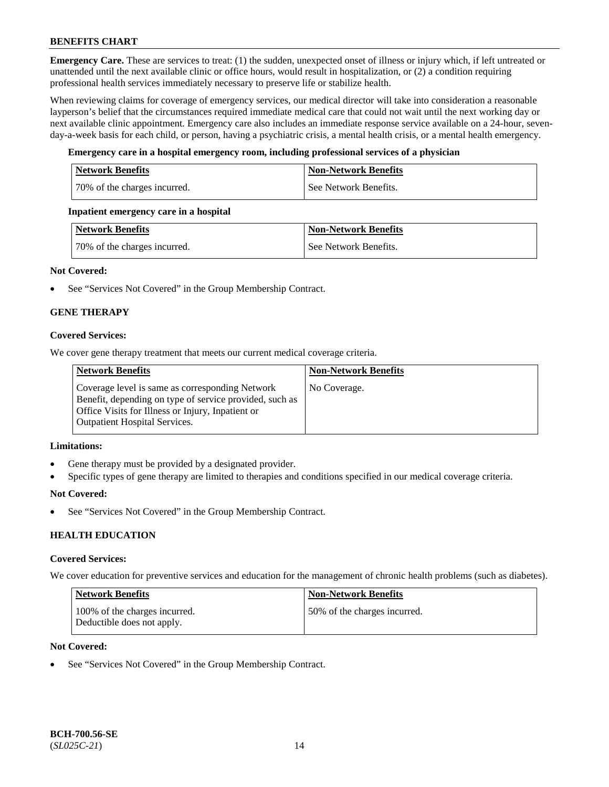**Emergency Care.** These are services to treat: (1) the sudden, unexpected onset of illness or injury which, if left untreated or unattended until the next available clinic or office hours, would result in hospitalization, or (2) a condition requiring professional health services immediately necessary to preserve life or stabilize health.

When reviewing claims for coverage of emergency services, our medical director will take into consideration a reasonable layperson's belief that the circumstances required immediate medical care that could not wait until the next working day or next available clinic appointment. Emergency care also includes an immediate response service available on a 24-hour, sevenday-a-week basis for each child, or person, having a psychiatric crisis, a mental health crisis, or a mental health emergency.

### **Emergency care in a hospital emergency room, including professional services of a physician**

| Network Benefits             | <b>Non-Network Benefits</b> |
|------------------------------|-----------------------------|
| 70% of the charges incurred. | See Network Benefits.       |

### **Inpatient emergency care in a hospital**

| Network Benefits             | Non-Network Benefits  |
|------------------------------|-----------------------|
| 70% of the charges incurred. | See Network Benefits. |

### **Not Covered:**

• See "Services Not Covered" in the Group Membership Contract.

## **GENE THERAPY**

### **Covered Services:**

We cover gene therapy treatment that meets our current medical coverage criteria.

| <b>Network Benefits</b>                                                                                                                                                                                 | <b>Non-Network Benefits</b> |
|---------------------------------------------------------------------------------------------------------------------------------------------------------------------------------------------------------|-----------------------------|
| Coverage level is same as corresponding Network<br>Benefit, depending on type of service provided, such as<br>Office Visits for Illness or Injury, Inpatient or<br><b>Outpatient Hospital Services.</b> | No Coverage.                |

#### **Limitations:**

- Gene therapy must be provided by a designated provider.
- Specific types of gene therapy are limited to therapies and conditions specified in our medical coverage criteria.

#### **Not Covered:**

See "Services Not Covered" in the Group Membership Contract.

### **HEALTH EDUCATION**

#### **Covered Services:**

We cover education for preventive services and education for the management of chronic health problems (such as diabetes).

| Network Benefits                                            | <b>Non-Network Benefits</b>  |
|-------------------------------------------------------------|------------------------------|
| 100% of the charges incurred.<br>Deductible does not apply. | 50% of the charges incurred. |

#### **Not Covered:**

See "Services Not Covered" in the Group Membership Contract.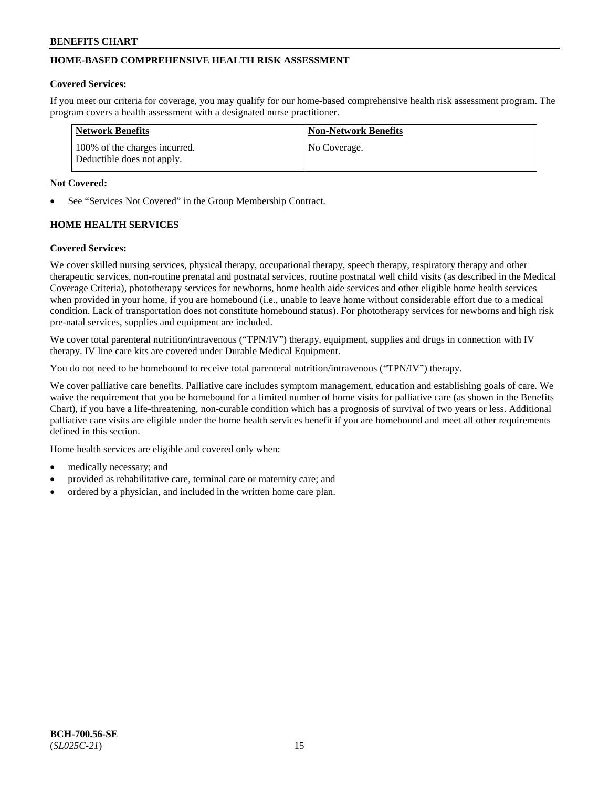## **HOME-BASED COMPREHENSIVE HEALTH RISK ASSESSMENT**

#### **Covered Services:**

If you meet our criteria for coverage, you may qualify for our home-based comprehensive health risk assessment program. The program covers a health assessment with a designated nurse practitioner.

| <b>Network Benefits</b>                                     | <b>Non-Network Benefits</b> |
|-------------------------------------------------------------|-----------------------------|
| 100% of the charges incurred.<br>Deductible does not apply. | No Coverage.                |

#### **Not Covered:**

See "Services Not Covered" in the Group Membership Contract.

## **HOME HEALTH SERVICES**

#### **Covered Services:**

We cover skilled nursing services, physical therapy, occupational therapy, speech therapy, respiratory therapy and other therapeutic services, non-routine prenatal and postnatal services, routine postnatal well child visits (as described in the Medical Coverage Criteria), phototherapy services for newborns, home health aide services and other eligible home health services when provided in your home, if you are homebound (i.e., unable to leave home without considerable effort due to a medical condition. Lack of transportation does not constitute homebound status). For phototherapy services for newborns and high risk pre-natal services, supplies and equipment are included.

We cover total parenteral nutrition/intravenous ("TPN/IV") therapy, equipment, supplies and drugs in connection with IV therapy. IV line care kits are covered under Durable Medical Equipment.

You do not need to be homebound to receive total parenteral nutrition/intravenous ("TPN/IV") therapy.

We cover palliative care benefits. Palliative care includes symptom management, education and establishing goals of care. We waive the requirement that you be homebound for a limited number of home visits for palliative care (as shown in the Benefits Chart), if you have a life-threatening, non-curable condition which has a prognosis of survival of two years or less. Additional palliative care visits are eligible under the home health services benefit if you are homebound and meet all other requirements defined in this section.

Home health services are eligible and covered only when:

- medically necessary; and
- provided as rehabilitative care, terminal care or maternity care; and
- ordered by a physician, and included in the written home care plan.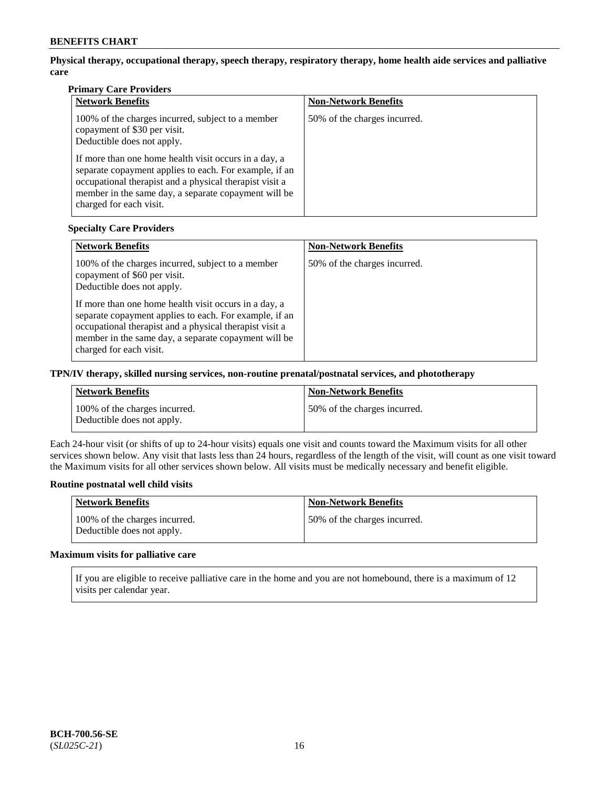**Physical therapy, occupational therapy, speech therapy, respiratory therapy, home health aide services and palliative care**

## **Primary Care Providers**

| <b>Network Benefits</b>                                                                                                                                                                                                                                       | <b>Non-Network Benefits</b>  |
|---------------------------------------------------------------------------------------------------------------------------------------------------------------------------------------------------------------------------------------------------------------|------------------------------|
| 100% of the charges incurred, subject to a member<br>copayment of \$30 per visit.<br>Deductible does not apply.                                                                                                                                               | 50% of the charges incurred. |
| If more than one home health visit occurs in a day, a<br>separate copayment applies to each. For example, if an<br>occupational therapist and a physical therapist visit a<br>member in the same day, a separate copayment will be<br>charged for each visit. |                              |

### **Specialty Care Providers**

| <b>Network Benefits</b>                                                                                                                                                                                                                                       | <b>Non-Network Benefits</b>  |
|---------------------------------------------------------------------------------------------------------------------------------------------------------------------------------------------------------------------------------------------------------------|------------------------------|
| 100% of the charges incurred, subject to a member<br>copayment of \$60 per visit.<br>Deductible does not apply.                                                                                                                                               | 50% of the charges incurred. |
| If more than one home health visit occurs in a day, a<br>separate copayment applies to each. For example, if an<br>occupational therapist and a physical therapist visit a<br>member in the same day, a separate copayment will be<br>charged for each visit. |                              |

## **TPN/IV therapy, skilled nursing services, non-routine prenatal/postnatal services, and phototherapy**

| Network Benefits                                            | <b>Non-Network Benefits</b>  |
|-------------------------------------------------------------|------------------------------|
| 100% of the charges incurred.<br>Deductible does not apply. | 50% of the charges incurred. |

Each 24-hour visit (or shifts of up to 24-hour visits) equals one visit and counts toward the Maximum visits for all other services shown below. Any visit that lasts less than 24 hours, regardless of the length of the visit, will count as one visit toward the Maximum visits for all other services shown below. All visits must be medically necessary and benefit eligible.

### **Routine postnatal well child visits**

| Network Benefits                                            | <b>Non-Network Benefits</b>  |
|-------------------------------------------------------------|------------------------------|
| 100% of the charges incurred.<br>Deductible does not apply. | 50% of the charges incurred. |

### **Maximum visits for palliative care**

If you are eligible to receive palliative care in the home and you are not homebound, there is a maximum of 12 visits per calendar year.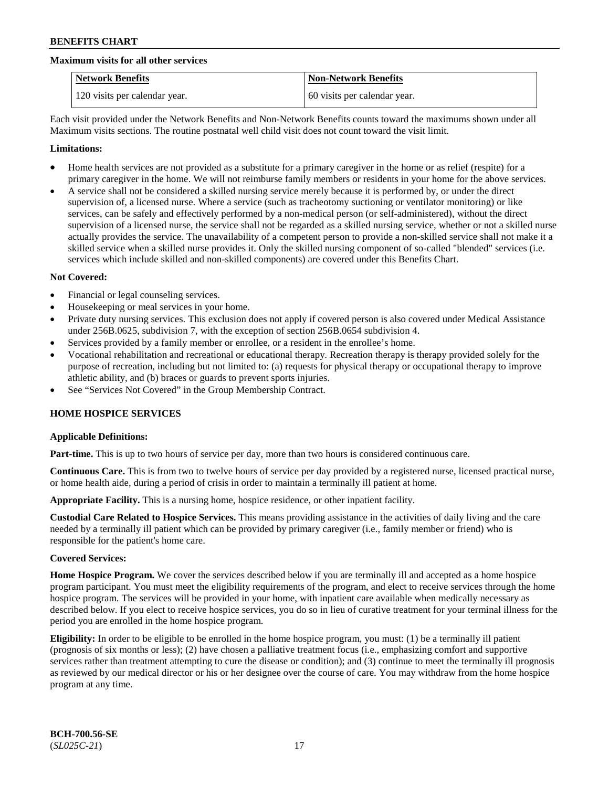#### **Maximum visits for all other services**

| <b>Network Benefits</b>       | <b>Non-Network Benefits</b>  |
|-------------------------------|------------------------------|
| 120 visits per calendar year. | 60 visits per calendar year. |

Each visit provided under the Network Benefits and Non-Network Benefits counts toward the maximums shown under all Maximum visits sections. The routine postnatal well child visit does not count toward the visit limit.

#### **Limitations:**

- Home health services are not provided as a substitute for a primary caregiver in the home or as relief (respite) for a primary caregiver in the home. We will not reimburse family members or residents in your home for the above services.
- A service shall not be considered a skilled nursing service merely because it is performed by, or under the direct supervision of, a licensed nurse. Where a service (such as tracheotomy suctioning or ventilator monitoring) or like services, can be safely and effectively performed by a non-medical person (or self-administered), without the direct supervision of a licensed nurse, the service shall not be regarded as a skilled nursing service, whether or not a skilled nurse actually provides the service. The unavailability of a competent person to provide a non-skilled service shall not make it a skilled service when a skilled nurse provides it. Only the skilled nursing component of so-called "blended" services (i.e. services which include skilled and non-skilled components) are covered under this Benefits Chart.

#### **Not Covered:**

- Financial or legal counseling services.
- Housekeeping or meal services in your home.
- Private duty nursing services. This exclusion does not apply if covered person is also covered under Medical Assistance under 256B.0625, subdivision 7, with the exception of section 256B.0654 subdivision 4.
- Services provided by a family member or enrollee, or a resident in the enrollee's home.
- Vocational rehabilitation and recreational or educational therapy. Recreation therapy is therapy provided solely for the purpose of recreation, including but not limited to: (a) requests for physical therapy or occupational therapy to improve athletic ability, and (b) braces or guards to prevent sports injuries.
- See "Services Not Covered" in the Group Membership Contract.

### **HOME HOSPICE SERVICES**

### **Applicable Definitions:**

**Part-time.** This is up to two hours of service per day, more than two hours is considered continuous care.

**Continuous Care.** This is from two to twelve hours of service per day provided by a registered nurse, licensed practical nurse, or home health aide, during a period of crisis in order to maintain a terminally ill patient at home.

**Appropriate Facility.** This is a nursing home, hospice residence, or other inpatient facility.

**Custodial Care Related to Hospice Services.** This means providing assistance in the activities of daily living and the care needed by a terminally ill patient which can be provided by primary caregiver (i.e., family member or friend) who is responsible for the patient's home care.

#### **Covered Services:**

**Home Hospice Program.** We cover the services described below if you are terminally ill and accepted as a home hospice program participant. You must meet the eligibility requirements of the program, and elect to receive services through the home hospice program. The services will be provided in your home, with inpatient care available when medically necessary as described below. If you elect to receive hospice services, you do so in lieu of curative treatment for your terminal illness for the period you are enrolled in the home hospice program.

**Eligibility:** In order to be eligible to be enrolled in the home hospice program, you must: (1) be a terminally ill patient (prognosis of six months or less); (2) have chosen a palliative treatment focus (i.e., emphasizing comfort and supportive services rather than treatment attempting to cure the disease or condition); and (3) continue to meet the terminally ill prognosis as reviewed by our medical director or his or her designee over the course of care. You may withdraw from the home hospice program at any time.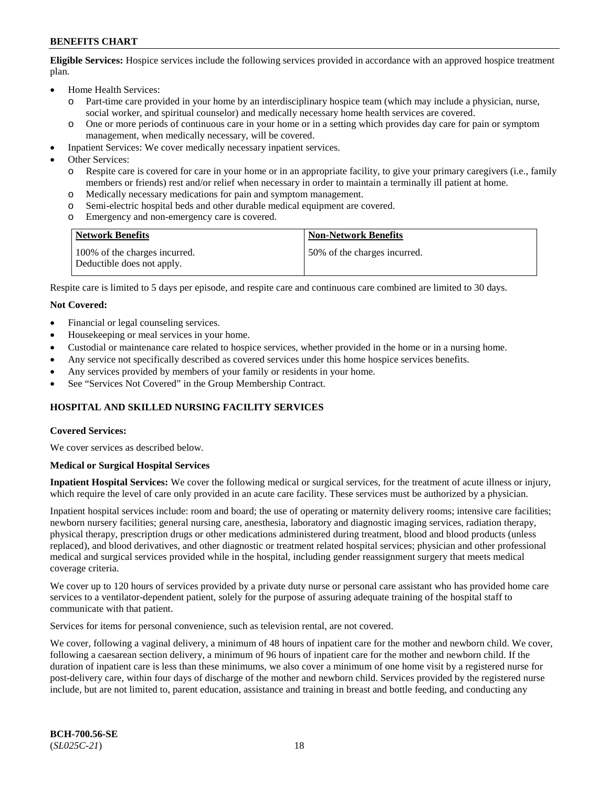**Eligible Services:** Hospice services include the following services provided in accordance with an approved hospice treatment plan.

- Home Health Services:
	- o Part-time care provided in your home by an interdisciplinary hospice team (which may include a physician, nurse, social worker, and spiritual counselor) and medically necessary home health services are covered.
	- o One or more periods of continuous care in your home or in a setting which provides day care for pain or symptom management, when medically necessary, will be covered.
- Inpatient Services: We cover medically necessary inpatient services.
- Other Services:
	- o Respite care is covered for care in your home or in an appropriate facility, to give your primary caregivers (i.e., family members or friends) rest and/or relief when necessary in order to maintain a terminally ill patient at home.
	- o Medically necessary medications for pain and symptom management.
	- Semi-electric hospital beds and other durable medical equipment are covered.
	- o Emergency and non-emergency care is covered.

| <b>Network Benefits</b>                                     | <b>Non-Network Benefits</b>   |
|-------------------------------------------------------------|-------------------------------|
| 100% of the charges incurred.<br>Deductible does not apply. | 150% of the charges incurred. |

Respite care is limited to 5 days per episode, and respite care and continuous care combined are limited to 30 days.

#### **Not Covered:**

- Financial or legal counseling services.
- Housekeeping or meal services in your home.
- Custodial or maintenance care related to hospice services, whether provided in the home or in a nursing home.
- Any service not specifically described as covered services under this home hospice services benefits.
- Any services provided by members of your family or residents in your home.
- See "Services Not Covered" in the Group Membership Contract.

### **HOSPITAL AND SKILLED NURSING FACILITY SERVICES**

#### **Covered Services:**

We cover services as described below.

#### **Medical or Surgical Hospital Services**

**Inpatient Hospital Services:** We cover the following medical or surgical services, for the treatment of acute illness or injury, which require the level of care only provided in an acute care facility. These services must be authorized by a physician.

Inpatient hospital services include: room and board; the use of operating or maternity delivery rooms; intensive care facilities; newborn nursery facilities; general nursing care, anesthesia, laboratory and diagnostic imaging services, radiation therapy, physical therapy, prescription drugs or other medications administered during treatment, blood and blood products (unless replaced), and blood derivatives, and other diagnostic or treatment related hospital services; physician and other professional medical and surgical services provided while in the hospital, including gender reassignment surgery that meets medical coverage criteria.

We cover up to 120 hours of services provided by a private duty nurse or personal care assistant who has provided home care services to a ventilator-dependent patient, solely for the purpose of assuring adequate training of the hospital staff to communicate with that patient.

Services for items for personal convenience, such as television rental, are not covered.

We cover, following a vaginal delivery, a minimum of 48 hours of inpatient care for the mother and newborn child. We cover, following a caesarean section delivery, a minimum of 96 hours of inpatient care for the mother and newborn child. If the duration of inpatient care is less than these minimums, we also cover a minimum of one home visit by a registered nurse for post-delivery care, within four days of discharge of the mother and newborn child. Services provided by the registered nurse include, but are not limited to, parent education, assistance and training in breast and bottle feeding, and conducting any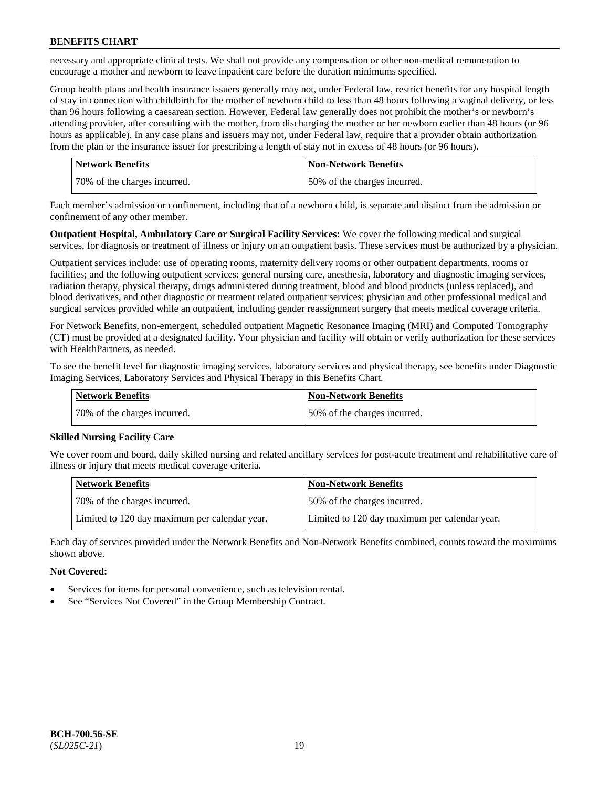necessary and appropriate clinical tests. We shall not provide any compensation or other non-medical remuneration to encourage a mother and newborn to leave inpatient care before the duration minimums specified.

Group health plans and health insurance issuers generally may not, under Federal law, restrict benefits for any hospital length of stay in connection with childbirth for the mother of newborn child to less than 48 hours following a vaginal delivery, or less than 96 hours following a caesarean section. However, Federal law generally does not prohibit the mother's or newborn's attending provider, after consulting with the mother, from discharging the mother or her newborn earlier than 48 hours (or 96 hours as applicable). In any case plans and issuers may not, under Federal law, require that a provider obtain authorization from the plan or the insurance issuer for prescribing a length of stay not in excess of 48 hours (or 96 hours).

| Network Benefits             | <b>Non-Network Benefits</b>  |
|------------------------------|------------------------------|
| 70% of the charges incurred. | 50% of the charges incurred. |

Each member's admission or confinement, including that of a newborn child, is separate and distinct from the admission or confinement of any other member.

**Outpatient Hospital, Ambulatory Care or Surgical Facility Services:** We cover the following medical and surgical services, for diagnosis or treatment of illness or injury on an outpatient basis. These services must be authorized by a physician.

Outpatient services include: use of operating rooms, maternity delivery rooms or other outpatient departments, rooms or facilities; and the following outpatient services: general nursing care, anesthesia, laboratory and diagnostic imaging services, radiation therapy, physical therapy, drugs administered during treatment, blood and blood products (unless replaced), and blood derivatives, and other diagnostic or treatment related outpatient services; physician and other professional medical and surgical services provided while an outpatient, including gender reassignment surgery that meets medical coverage criteria.

For Network Benefits, non-emergent, scheduled outpatient Magnetic Resonance Imaging (MRI) and Computed Tomography (CT) must be provided at a designated facility. Your physician and facility will obtain or verify authorization for these services with HealthPartners, as needed.

To see the benefit level for diagnostic imaging services, laboratory services and physical therapy, see benefits under Diagnostic Imaging Services, Laboratory Services and Physical Therapy in this Benefits Chart.

| <b>Network Benefits</b>      | <b>Non-Network Benefits</b>   |
|------------------------------|-------------------------------|
| 70% of the charges incurred. | 150% of the charges incurred. |

### **Skilled Nursing Facility Care**

We cover room and board, daily skilled nursing and related ancillary services for post-acute treatment and rehabilitative care of illness or injury that meets medical coverage criteria.

| Network Benefits                              | <b>Non-Network Benefits</b>                   |
|-----------------------------------------------|-----------------------------------------------|
| 70% of the charges incurred.                  | 50% of the charges incurred.                  |
| Limited to 120 day maximum per calendar year. | Limited to 120 day maximum per calendar year. |

Each day of services provided under the Network Benefits and Non-Network Benefits combined, counts toward the maximums shown above.

### **Not Covered:**

- Services for items for personal convenience, such as television rental.
- See "Services Not Covered" in the Group Membership Contract.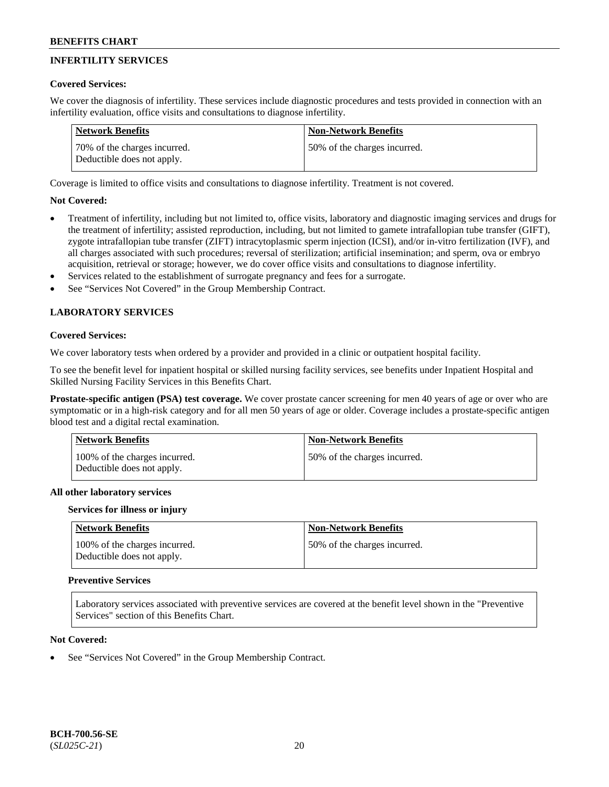## **INFERTILITY SERVICES**

### **Covered Services:**

We cover the diagnosis of infertility. These services include diagnostic procedures and tests provided in connection with an infertility evaluation, office visits and consultations to diagnose infertility.

| Network Benefits                                           | <b>Non-Network Benefits</b>  |
|------------------------------------------------------------|------------------------------|
| 70% of the charges incurred.<br>Deductible does not apply. | 50% of the charges incurred. |

Coverage is limited to office visits and consultations to diagnose infertility. Treatment is not covered.

### **Not Covered:**

- Treatment of infertility, including but not limited to, office visits, laboratory and diagnostic imaging services and drugs for the treatment of infertility; assisted reproduction, including, but not limited to gamete intrafallopian tube transfer (GIFT), zygote intrafallopian tube transfer (ZIFT) intracytoplasmic sperm injection (ICSI), and/or in-vitro fertilization (IVF), and all charges associated with such procedures; reversal of sterilization; artificial insemination; and sperm, ova or embryo acquisition, retrieval or storage; however, we do cover office visits and consultations to diagnose infertility.
- Services related to the establishment of surrogate pregnancy and fees for a surrogate.
- See "Services Not Covered" in the Group Membership Contract.

## **LABORATORY SERVICES**

## **Covered Services:**

We cover laboratory tests when ordered by a provider and provided in a clinic or outpatient hospital facility.

To see the benefit level for inpatient hospital or skilled nursing facility services, see benefits under Inpatient Hospital and Skilled Nursing Facility Services in this Benefits Chart.

**Prostate-specific antigen (PSA) test coverage.** We cover prostate cancer screening for men 40 years of age or over who are symptomatic or in a high-risk category and for all men 50 years of age or older. Coverage includes a prostate-specific antigen blood test and a digital rectal examination.

| Network Benefits                                            | <b>Non-Network Benefits</b>  |
|-------------------------------------------------------------|------------------------------|
| 100% of the charges incurred.<br>Deductible does not apply. | 50% of the charges incurred. |

### **All other laboratory services**

### **Services for illness or injury**

| Network Benefits                                            | Non-Network Benefits         |
|-------------------------------------------------------------|------------------------------|
| 100% of the charges incurred.<br>Deductible does not apply. | 50% of the charges incurred. |

## **Preventive Services**

Laboratory services associated with preventive services are covered at the benefit level shown in the "Preventive Services" section of this Benefits Chart.

### **Not Covered:**

See "Services Not Covered" in the Group Membership Contract.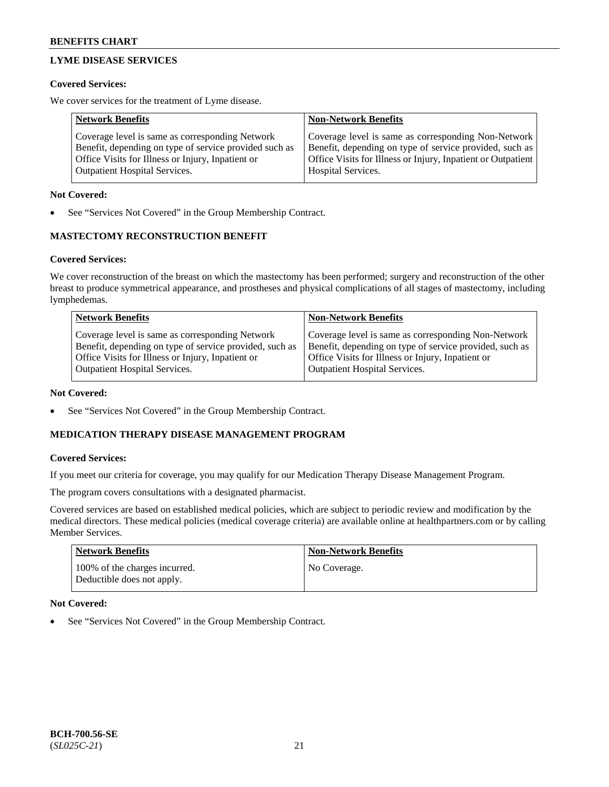## **LYME DISEASE SERVICES**

### **Covered Services:**

We cover services for the treatment of Lyme disease.

| <b>Network Benefits</b>                                | <b>Non-Network Benefits</b>                                  |
|--------------------------------------------------------|--------------------------------------------------------------|
| Coverage level is same as corresponding Network        | Coverage level is same as corresponding Non-Network          |
| Benefit, depending on type of service provided such as | Benefit, depending on type of service provided, such as      |
| Office Visits for Illness or Injury, Inpatient or      | Office Visits for Illness or Injury, Inpatient or Outpatient |
| <b>Outpatient Hospital Services.</b>                   | Hospital Services.                                           |

### **Not Covered:**

See "Services Not Covered" in the Group Membership Contract.

## **MASTECTOMY RECONSTRUCTION BENEFIT**

## **Covered Services:**

We cover reconstruction of the breast on which the mastectomy has been performed; surgery and reconstruction of the other breast to produce symmetrical appearance, and prostheses and physical complications of all stages of mastectomy, including lymphedemas.

| <b>Network Benefits</b>                                 | <b>Non-Network Benefits</b>                             |
|---------------------------------------------------------|---------------------------------------------------------|
| Coverage level is same as corresponding Network         | Coverage level is same as corresponding Non-Network     |
| Benefit, depending on type of service provided, such as | Benefit, depending on type of service provided, such as |
| Office Visits for Illness or Injury, Inpatient or       | Office Visits for Illness or Injury, Inpatient or       |
| <b>Outpatient Hospital Services.</b>                    | Outpatient Hospital Services.                           |

### **Not Covered:**

• See "Services Not Covered" in the Group Membership Contract.

## **MEDICATION THERAPY DISEASE MANAGEMENT PROGRAM**

### **Covered Services:**

If you meet our criteria for coverage, you may qualify for our Medication Therapy Disease Management Program.

The program covers consultations with a designated pharmacist.

Covered services are based on established medical policies, which are subject to periodic review and modification by the medical directors. These medical policies (medical coverage criteria) are available online at [healthpartners.com](https://www.healthpartners.com/hp/index.html) or by calling Member Services.

| Network Benefits                                            | <b>Non-Network Benefits</b> |
|-------------------------------------------------------------|-----------------------------|
| 100% of the charges incurred.<br>Deductible does not apply. | No Coverage.                |

### **Not Covered:**

See "Services Not Covered" in the Group Membership Contract.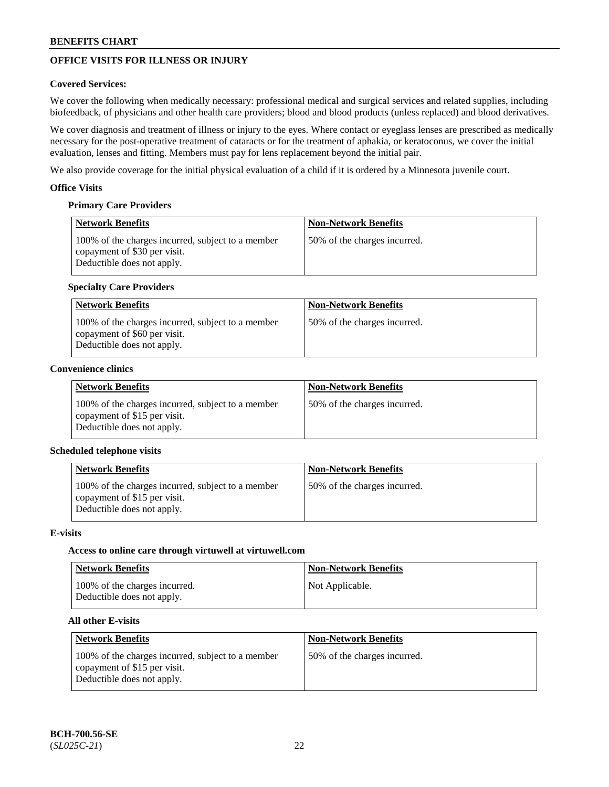## **OFFICE VISITS FOR ILLNESS OR INJURY**

### **Covered Services:**

We cover the following when medically necessary: professional medical and surgical services and related supplies, including biofeedback, of physicians and other health care providers; blood and blood products (unless replaced) and blood derivatives.

We cover diagnosis and treatment of illness or injury to the eyes. Where contact or eyeglass lenses are prescribed as medically necessary for the post-operative treatment of cataracts or for the treatment of aphakia, or keratoconus, we cover the initial evaluation, lenses and fitting. Members must pay for lens replacement beyond the initial pair.

We also provide coverage for the initial physical evaluation of a child if it is ordered by a Minnesota juvenile court.

### **Office Visits**

## **Primary Care Providers**

| <b>Network Benefits</b>                                                                                         | <b>Non-Network Benefits</b>  |
|-----------------------------------------------------------------------------------------------------------------|------------------------------|
| 100% of the charges incurred, subject to a member<br>copayment of \$30 per visit.<br>Deductible does not apply. | 50% of the charges incurred. |

### **Specialty Care Providers**

| <b>Network Benefits</b>                                                                                         | <b>Non-Network Benefits</b>  |
|-----------------------------------------------------------------------------------------------------------------|------------------------------|
| 100% of the charges incurred, subject to a member<br>copayment of \$60 per visit.<br>Deductible does not apply. | 50% of the charges incurred. |

## **Convenience clinics**

| <b>Network Benefits</b>                                                                                         | <b>Non-Network Benefits</b>  |
|-----------------------------------------------------------------------------------------------------------------|------------------------------|
| 100% of the charges incurred, subject to a member<br>copayment of \$15 per visit.<br>Deductible does not apply. | 50% of the charges incurred. |

### **Scheduled telephone visits**

| <b>Network Benefits</b>                                                                                         | <b>Non-Network Benefits</b>  |
|-----------------------------------------------------------------------------------------------------------------|------------------------------|
| 100% of the charges incurred, subject to a member<br>copayment of \$15 per visit.<br>Deductible does not apply. | 50% of the charges incurred. |

### **E-visits**

### **Access to online care through virtuwell at [virtuwell.com](https://www.virtuwell.com/)**

| Network Benefits                                            | <b>Non-Network Benefits</b> |
|-------------------------------------------------------------|-----------------------------|
| 100% of the charges incurred.<br>Deductible does not apply. | Not Applicable.             |

### **All other E-visits**

| <b>Network Benefits</b>                                                                                         | <b>Non-Network Benefits</b>  |
|-----------------------------------------------------------------------------------------------------------------|------------------------------|
| 100% of the charges incurred, subject to a member<br>copayment of \$15 per visit.<br>Deductible does not apply. | 50% of the charges incurred. |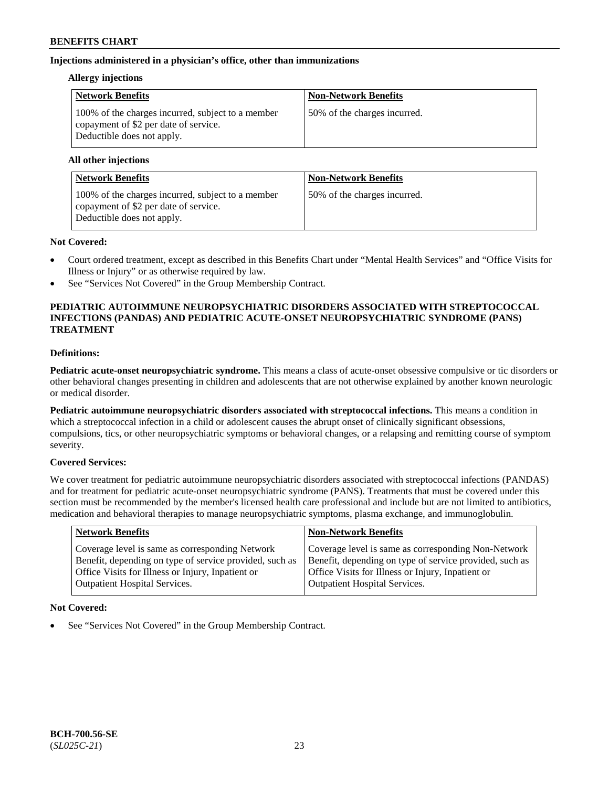### **Injections administered in a physician's office, other than immunizations**

#### **Allergy injections**

| <b>Network Benefits</b>                                                                                                  | <b>Non-Network Benefits</b>  |
|--------------------------------------------------------------------------------------------------------------------------|------------------------------|
| 100% of the charges incurred, subject to a member<br>copayment of \$2 per date of service.<br>Deductible does not apply. | 50% of the charges incurred. |

#### **All other injections**

| <b>Network Benefits</b>                                                                                                  | <b>Non-Network Benefits</b>  |
|--------------------------------------------------------------------------------------------------------------------------|------------------------------|
| 100% of the charges incurred, subject to a member<br>copayment of \$2 per date of service.<br>Deductible does not apply. | 50% of the charges incurred. |

### **Not Covered:**

- Court ordered treatment, except as described in this Benefits Chart under "Mental Health Services" and "Office Visits for Illness or Injury" or as otherwise required by law.
- See "Services Not Covered" in the Group Membership Contract.

### **PEDIATRIC AUTOIMMUNE NEUROPSYCHIATRIC DISORDERS ASSOCIATED WITH STREPTOCOCCAL INFECTIONS (PANDAS) AND PEDIATRIC ACUTE-ONSET NEUROPSYCHIATRIC SYNDROME (PANS) TREATMENT**

### **Definitions:**

**Pediatric acute-onset neuropsychiatric syndrome.** This means a class of acute-onset obsessive compulsive or tic disorders or other behavioral changes presenting in children and adolescents that are not otherwise explained by another known neurologic or medical disorder.

**Pediatric autoimmune neuropsychiatric disorders associated with streptococcal infections.** This means a condition in which a streptococcal infection in a child or adolescent causes the abrupt onset of clinically significant obsessions, compulsions, tics, or other neuropsychiatric symptoms or behavioral changes, or a relapsing and remitting course of symptom severity.

### **Covered Services:**

We cover treatment for pediatric autoimmune neuropsychiatric disorders associated with streptococcal infections (PANDAS) and for treatment for pediatric acute-onset neuropsychiatric syndrome (PANS). Treatments that must be covered under this section must be recommended by the member's licensed health care professional and include but are not limited to antibiotics, medication and behavioral therapies to manage neuropsychiatric symptoms, plasma exchange, and immunoglobulin.

| <b>Network Benefits</b>                                 | <b>Non-Network Benefits</b>                             |
|---------------------------------------------------------|---------------------------------------------------------|
| Coverage level is same as corresponding Network         | Coverage level is same as corresponding Non-Network     |
| Benefit, depending on type of service provided, such as | Benefit, depending on type of service provided, such as |
| Office Visits for Illness or Injury, Inpatient or       | Office Visits for Illness or Injury, Inpatient or       |
| <b>Outpatient Hospital Services.</b>                    | Outpatient Hospital Services.                           |

### **Not Covered:**

See "Services Not Covered" in the Group Membership Contract.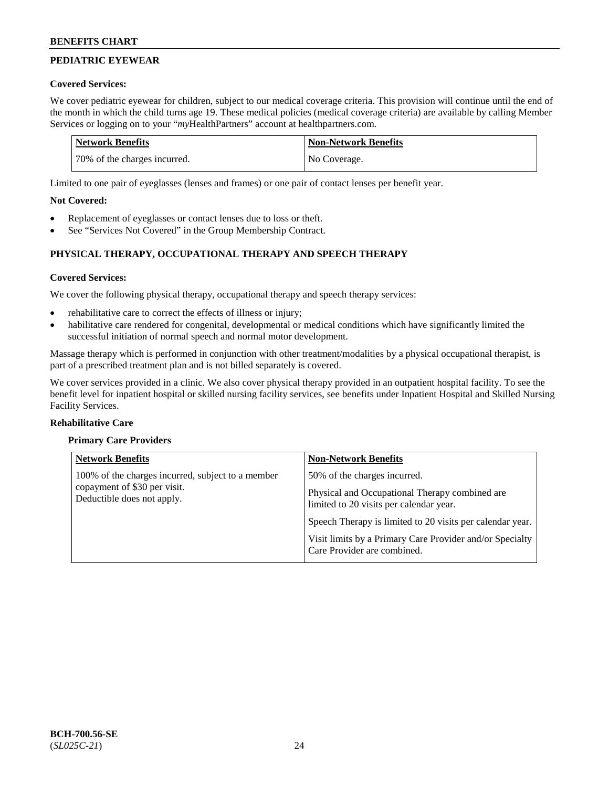## **PEDIATRIC EYEWEAR**

## **Covered Services:**

We cover pediatric eyewear for children, subject to our medical coverage criteria. This provision will continue until the end of the month in which the child turns age 19. These medical policies (medical coverage criteria) are available by calling Member Services or logging on to your "*my*HealthPartners" account at [healthpartners.com.](https://www.healthpartners.com/hp/index.html)

| Network Benefits             | <b>Non-Network Benefits</b> |
|------------------------------|-----------------------------|
| 70% of the charges incurred. | No Coverage.                |

Limited to one pair of eyeglasses (lenses and frames) or one pair of contact lenses per benefit year.

## **Not Covered:**

- Replacement of eyeglasses or contact lenses due to loss or theft.
- See "Services Not Covered" in the Group Membership Contract.

## **PHYSICAL THERAPY, OCCUPATIONAL THERAPY AND SPEECH THERAPY**

## **Covered Services:**

We cover the following physical therapy, occupational therapy and speech therapy services:

- rehabilitative care to correct the effects of illness or injury;
- habilitative care rendered for congenital, developmental or medical conditions which have significantly limited the successful initiation of normal speech and normal motor development.

Massage therapy which is performed in conjunction with other treatment/modalities by a physical occupational therapist, is part of a prescribed treatment plan and is not billed separately is covered.

We cover services provided in a clinic. We also cover physical therapy provided in an outpatient hospital facility. To see the benefit level for inpatient hospital or skilled nursing facility services, see benefits under Inpatient Hospital and Skilled Nursing Facility Services.

### **Rehabilitative Care**

### **Primary Care Providers**

| <b>Network Benefits</b>                                    | <b>Non-Network Benefits</b>                                                               |
|------------------------------------------------------------|-------------------------------------------------------------------------------------------|
| 100% of the charges incurred, subject to a member          | 50% of the charges incurred.                                                              |
| copayment of \$30 per visit.<br>Deductible does not apply. | Physical and Occupational Therapy combined are<br>limited to 20 visits per calendar year. |
|                                                            | Speech Therapy is limited to 20 visits per calendar year.                                 |
|                                                            | Visit limits by a Primary Care Provider and/or Specialty<br>Care Provider are combined.   |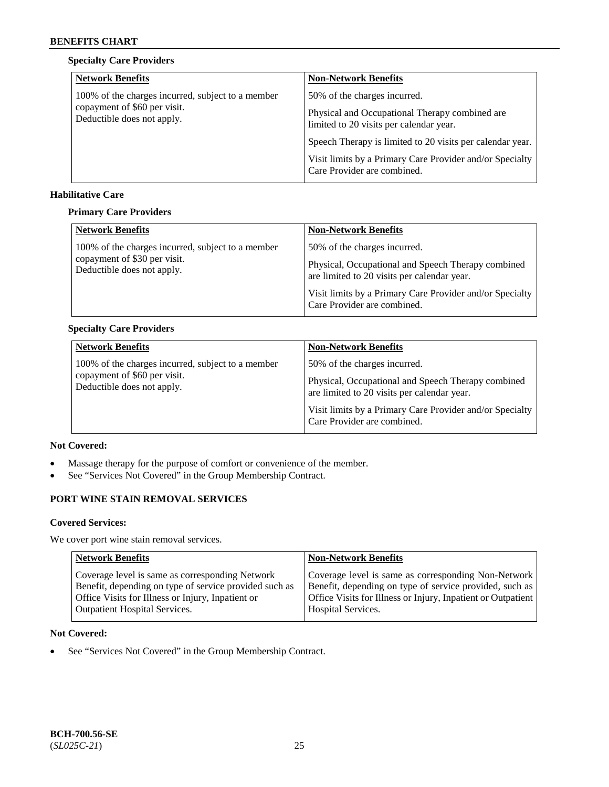### **Specialty Care Providers**

| <b>Network Benefits</b>                                    | <b>Non-Network Benefits</b>                                                               |
|------------------------------------------------------------|-------------------------------------------------------------------------------------------|
| 100% of the charges incurred, subject to a member          | 50% of the charges incurred.                                                              |
| copayment of \$60 per visit.<br>Deductible does not apply. | Physical and Occupational Therapy combined are<br>limited to 20 visits per calendar year. |
|                                                            | Speech Therapy is limited to 20 visits per calendar year.                                 |
|                                                            | Visit limits by a Primary Care Provider and/or Specialty<br>Care Provider are combined.   |

#### **Habilitative Care**

#### **Primary Care Providers**

| <b>Network Benefits</b>                                    | <b>Non-Network Benefits</b>                                                                       |
|------------------------------------------------------------|---------------------------------------------------------------------------------------------------|
| 100% of the charges incurred, subject to a member          | 50% of the charges incurred.                                                                      |
| copayment of \$30 per visit.<br>Deductible does not apply. | Physical, Occupational and Speech Therapy combined<br>are limited to 20 visits per calendar year. |
|                                                            | Visit limits by a Primary Care Provider and/or Specialty<br>Care Provider are combined.           |

## **Specialty Care Providers**

| <b>Network Benefits</b>                                    | <b>Non-Network Benefits</b>                                                                       |
|------------------------------------------------------------|---------------------------------------------------------------------------------------------------|
| 100% of the charges incurred, subject to a member          | 50% of the charges incurred.                                                                      |
| copayment of \$60 per visit.<br>Deductible does not apply. | Physical, Occupational and Speech Therapy combined<br>are limited to 20 visits per calendar year. |
|                                                            | Visit limits by a Primary Care Provider and/or Specialty<br>Care Provider are combined.           |

## **Not Covered:**

- Massage therapy for the purpose of comfort or convenience of the member.
- See "Services Not Covered" in the Group Membership Contract.

## **PORT WINE STAIN REMOVAL SERVICES**

#### **Covered Services:**

We cover port wine stain removal services.

| <b>Network Benefits</b>                                | <b>Non-Network Benefits</b>                                  |
|--------------------------------------------------------|--------------------------------------------------------------|
| Coverage level is same as corresponding Network        | Coverage level is same as corresponding Non-Network          |
| Benefit, depending on type of service provided such as | Benefit, depending on type of service provided, such as      |
| Office Visits for Illness or Injury, Inpatient or      | Office Visits for Illness or Injury, Inpatient or Outpatient |
| <b>Outpatient Hospital Services.</b>                   | <b>Hospital Services.</b>                                    |

### **Not Covered:**

• See "Services Not Covered" in the Group Membership Contract.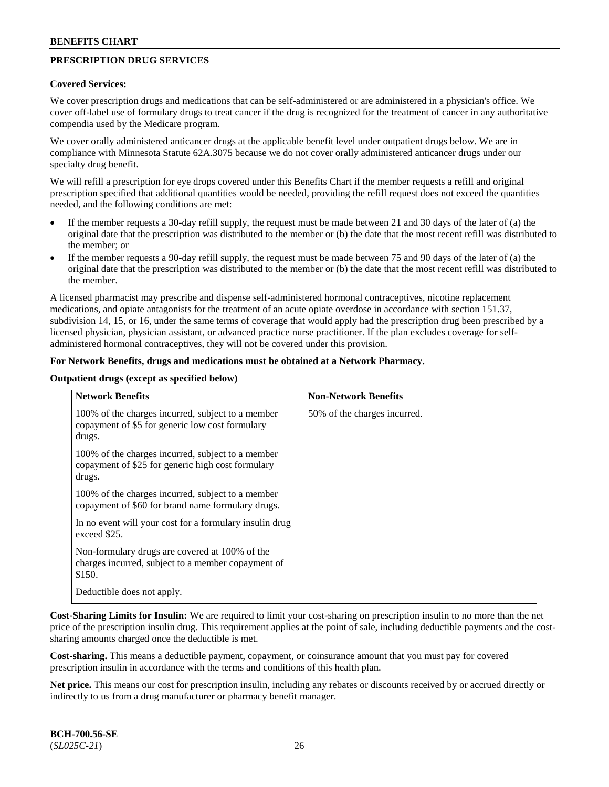## **PRESCRIPTION DRUG SERVICES**

#### **Covered Services:**

We cover prescription drugs and medications that can be self-administered or are administered in a physician's office. We cover off-label use of formulary drugs to treat cancer if the drug is recognized for the treatment of cancer in any authoritative compendia used by the Medicare program.

We cover orally administered anticancer drugs at the applicable benefit level under outpatient drugs below. We are in compliance with Minnesota Statute 62A.3075 because we do not cover orally administered anticancer drugs under our specialty drug benefit.

We will refill a prescription for eye drops covered under this Benefits Chart if the member requests a refill and original prescription specified that additional quantities would be needed, providing the refill request does not exceed the quantities needed, and the following conditions are met:

- If the member requests a 30-day refill supply, the request must be made between 21 and 30 days of the later of (a) the original date that the prescription was distributed to the member or (b) the date that the most recent refill was distributed to the member; or
- If the member requests a 90-day refill supply, the request must be made between 75 and 90 days of the later of (a) the original date that the prescription was distributed to the member or (b) the date that the most recent refill was distributed to the member.

A licensed pharmacist may prescribe and dispense self-administered hormonal contraceptives, nicotine replacement medications, and opiate antagonists for the treatment of an acute opiate overdose in accordance with section 151.37, subdivision 14, 15, or 16, under the same terms of coverage that would apply had the prescription drug been prescribed by a licensed physician, physician assistant, or advanced practice nurse practitioner. If the plan excludes coverage for selfadministered hormonal contraceptives, they will not be covered under this provision.

#### **For Network Benefits, drugs and medications must be obtained at a Network Pharmacy.**

#### **Outpatient drugs (except as specified below)**

| <b>Network Benefits</b>                                                                                          | <b>Non-Network Benefits</b>  |
|------------------------------------------------------------------------------------------------------------------|------------------------------|
| 100% of the charges incurred, subject to a member<br>copayment of \$5 for generic low cost formulary<br>drugs.   | 50% of the charges incurred. |
| 100% of the charges incurred, subject to a member<br>copayment of \$25 for generic high cost formulary<br>drugs. |                              |
| 100% of the charges incurred, subject to a member<br>copayment of \$60 for brand name formulary drugs.           |                              |
| In no event will your cost for a formulary insulin drug<br>exceed \$25.                                          |                              |
| Non-formulary drugs are covered at 100% of the<br>charges incurred, subject to a member copayment of<br>\$150.   |                              |
| Deductible does not apply.                                                                                       |                              |

**Cost-Sharing Limits for Insulin:** We are required to limit your cost-sharing on prescription insulin to no more than the net price of the prescription insulin drug. This requirement applies at the point of sale, including deductible payments and the costsharing amounts charged once the deductible is met.

**Cost-sharing.** This means a deductible payment, copayment, or coinsurance amount that you must pay for covered prescription insulin in accordance with the terms and conditions of this health plan.

**Net price.** This means our cost for prescription insulin, including any rebates or discounts received by or accrued directly or indirectly to us from a drug manufacturer or pharmacy benefit manager.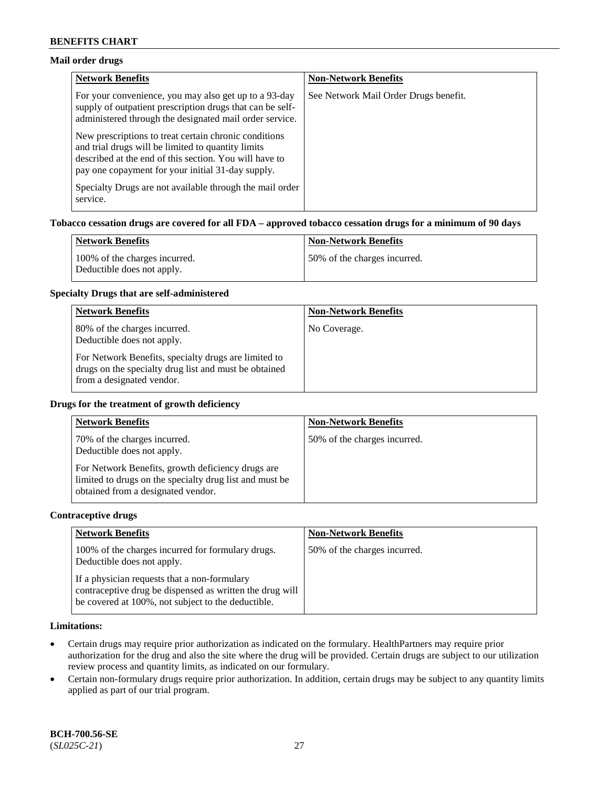### **Mail order drugs**

| <b>Network Benefits</b>                                                                                                                                                                                                    | <b>Non-Network Benefits</b>           |
|----------------------------------------------------------------------------------------------------------------------------------------------------------------------------------------------------------------------------|---------------------------------------|
| For your convenience, you may also get up to a 93-day<br>supply of outpatient prescription drugs that can be self-<br>administered through the designated mail order service.                                              | See Network Mail Order Drugs benefit. |
| New prescriptions to treat certain chronic conditions<br>and trial drugs will be limited to quantity limits<br>described at the end of this section. You will have to<br>pay one copayment for your initial 31-day supply. |                                       |
| Specialty Drugs are not available through the mail order<br>service.                                                                                                                                                       |                                       |

#### **Tobacco cessation drugs are covered for all FDA – approved tobacco cessation drugs for a minimum of 90 days**

| Network Benefits                                            | <b>Non-Network Benefits</b>   |
|-------------------------------------------------------------|-------------------------------|
| 100% of the charges incurred.<br>Deductible does not apply. | 150% of the charges incurred. |

#### **Specialty Drugs that are self-administered**

| <b>Network Benefits</b>                                                                                                                    | <b>Non-Network Benefits</b> |
|--------------------------------------------------------------------------------------------------------------------------------------------|-----------------------------|
| 80% of the charges incurred.<br>Deductible does not apply.                                                                                 | No Coverage.                |
| For Network Benefits, specialty drugs are limited to<br>drugs on the specialty drug list and must be obtained<br>from a designated vendor. |                             |

#### **Drugs for the treatment of growth deficiency**

| <b>Network Benefits</b>                                                                                                                            | <b>Non-Network Benefits</b>  |
|----------------------------------------------------------------------------------------------------------------------------------------------------|------------------------------|
| 70% of the charges incurred.<br>Deductible does not apply.                                                                                         | 50% of the charges incurred. |
| For Network Benefits, growth deficiency drugs are<br>limited to drugs on the specialty drug list and must be<br>obtained from a designated vendor. |                              |

#### **Contraceptive drugs**

| <b>Network Benefits</b>                                                                                                                                        | <b>Non-Network Benefits</b>  |
|----------------------------------------------------------------------------------------------------------------------------------------------------------------|------------------------------|
| 100% of the charges incurred for formulary drugs.<br>Deductible does not apply.                                                                                | 50% of the charges incurred. |
| If a physician requests that a non-formulary<br>contraceptive drug be dispensed as written the drug will<br>be covered at 100%, not subject to the deductible. |                              |

### **Limitations:**

- Certain drugs may require prior authorization as indicated on the formulary. HealthPartners may require prior authorization for the drug and also the site where the drug will be provided. Certain drugs are subject to our utilization review process and quantity limits, as indicated on our formulary.
- Certain non-formulary drugs require prior authorization. In addition, certain drugs may be subject to any quantity limits applied as part of our trial program.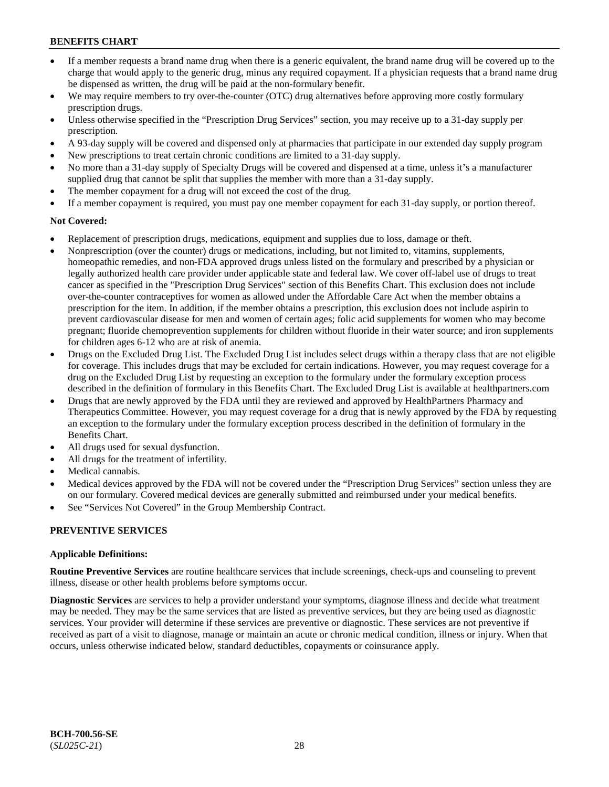- If a member requests a brand name drug when there is a generic equivalent, the brand name drug will be covered up to the charge that would apply to the generic drug, minus any required copayment. If a physician requests that a brand name drug be dispensed as written, the drug will be paid at the non-formulary benefit.
- We may require members to try over-the-counter (OTC) drug alternatives before approving more costly formulary prescription drugs.
- Unless otherwise specified in the "Prescription Drug Services" section, you may receive up to a 31-day supply per prescription.
- A 93-day supply will be covered and dispensed only at pharmacies that participate in our extended day supply program
- New prescriptions to treat certain chronic conditions are limited to a 31-day supply.
- No more than a 31-day supply of Specialty Drugs will be covered and dispensed at a time, unless it's a manufacturer supplied drug that cannot be split that supplies the member with more than a 31-day supply.
- The member copayment for a drug will not exceed the cost of the drug.
- If a member copayment is required, you must pay one member copayment for each 31-day supply, or portion thereof.

### **Not Covered:**

- Replacement of prescription drugs, medications, equipment and supplies due to loss, damage or theft.
- Nonprescription (over the counter) drugs or medications, including, but not limited to, vitamins, supplements, homeopathic remedies, and non-FDA approved drugs unless listed on the formulary and prescribed by a physician or legally authorized health care provider under applicable state and federal law. We cover off-label use of drugs to treat cancer as specified in the "Prescription Drug Services" section of this Benefits Chart. This exclusion does not include over-the-counter contraceptives for women as allowed under the Affordable Care Act when the member obtains a prescription for the item. In addition, if the member obtains a prescription, this exclusion does not include aspirin to prevent cardiovascular disease for men and women of certain ages; folic acid supplements for women who may become pregnant; fluoride chemoprevention supplements for children without fluoride in their water source; and iron supplements for children ages 6-12 who are at risk of anemia.
- Drugs on the Excluded Drug List. The Excluded Drug List includes select drugs within a therapy class that are not eligible for coverage. This includes drugs that may be excluded for certain indications. However, you may request coverage for a drug on the Excluded Drug List by requesting an exception to the formulary under the formulary exception process described in the definition of formulary in this Benefits Chart. The Excluded Drug List is available at [healthpartners.com](http://www.healthpartners.com/)
- Drugs that are newly approved by the FDA until they are reviewed and approved by HealthPartners Pharmacy and Therapeutics Committee. However, you may request coverage for a drug that is newly approved by the FDA by requesting an exception to the formulary under the formulary exception process described in the definition of formulary in the Benefits Chart.
- All drugs used for sexual dysfunction.
- All drugs for the treatment of infertility.
- Medical cannabis.
- Medical devices approved by the FDA will not be covered under the "Prescription Drug Services" section unless they are on our formulary. Covered medical devices are generally submitted and reimbursed under your medical benefits.
- See "Services Not Covered" in the Group Membership Contract.

### **PREVENTIVE SERVICES**

### **Applicable Definitions:**

**Routine Preventive Services** are routine healthcare services that include screenings, check-ups and counseling to prevent illness, disease or other health problems before symptoms occur.

**Diagnostic Services** are services to help a provider understand your symptoms, diagnose illness and decide what treatment may be needed. They may be the same services that are listed as preventive services, but they are being used as diagnostic services. Your provider will determine if these services are preventive or diagnostic. These services are not preventive if received as part of a visit to diagnose, manage or maintain an acute or chronic medical condition, illness or injury. When that occurs, unless otherwise indicated below, standard deductibles, copayments or coinsurance apply.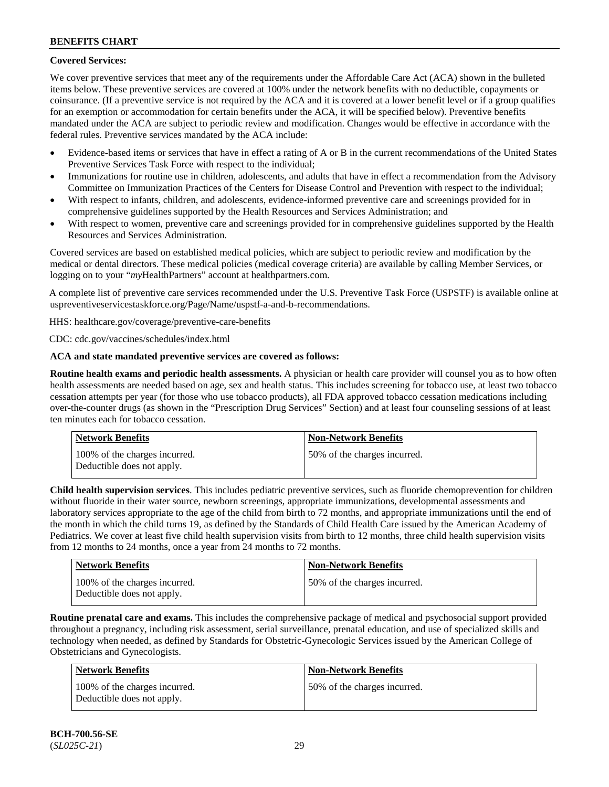## **Covered Services:**

We cover preventive services that meet any of the requirements under the Affordable Care Act (ACA) shown in the bulleted items below. These preventive services are covered at 100% under the network benefits with no deductible, copayments or coinsurance. (If a preventive service is not required by the ACA and it is covered at a lower benefit level or if a group qualifies for an exemption or accommodation for certain benefits under the ACA, it will be specified below). Preventive benefits mandated under the ACA are subject to periodic review and modification. Changes would be effective in accordance with the federal rules. Preventive services mandated by the ACA include:

- Evidence-based items or services that have in effect a rating of A or B in the current recommendations of the United States Preventive Services Task Force with respect to the individual;
- Immunizations for routine use in children, adolescents, and adults that have in effect a recommendation from the Advisory Committee on Immunization Practices of the Centers for Disease Control and Prevention with respect to the individual;
- With respect to infants, children, and adolescents, evidence-informed preventive care and screenings provided for in comprehensive guidelines supported by the Health Resources and Services Administration; and
- With respect to women, preventive care and screenings provided for in comprehensive guidelines supported by the Health Resources and Services Administration.

Covered services are based on established medical policies, which are subject to periodic review and modification by the medical or dental directors. These medical policies (medical coverage criteria) are available by calling Member Services, or logging on to your "*my*HealthPartners" account at [healthpartners.com.](http://www.healthpartners.com/)

A complete list of preventive care services recommended under the U.S. Preventive Task Force (USPSTF) is available online at [uspreventiveservicestaskforce.org/Page/Name/uspstf-a-and-b-recommendations.](https://www.uspreventiveservicestaskforce.org/Page/Name/uspstf-a-and-b-recommendations-by-date/)

HHS: [healthcare.gov/coverage/preventive-care-benefits](https://www.healthcare.gov/coverage/preventive-care-benefits/)

CDC: [cdc.gov/vaccines/schedules/index.html](https://www.cdc.gov/vaccines/schedules/index.html)

### **ACA and state mandated preventive services are covered as follows:**

**Routine health exams and periodic health assessments.** A physician or health care provider will counsel you as to how often health assessments are needed based on age, sex and health status. This includes screening for tobacco use, at least two tobacco cessation attempts per year (for those who use tobacco products), all FDA approved tobacco cessation medications including over-the-counter drugs (as shown in the "Prescription Drug Services" Section) and at least four counseling sessions of at least ten minutes each for tobacco cessation.

| Network Benefits                                            | <b>Non-Network Benefits</b>  |
|-------------------------------------------------------------|------------------------------|
| 100% of the charges incurred.<br>Deductible does not apply. | 50% of the charges incurred. |

**Child health supervision services**. This includes pediatric preventive services, such as fluoride chemoprevention for children without fluoride in their water source, newborn screenings, appropriate immunizations, developmental assessments and laboratory services appropriate to the age of the child from birth to 72 months, and appropriate immunizations until the end of the month in which the child turns 19, as defined by the Standards of Child Health Care issued by the American Academy of Pediatrics. We cover at least five child health supervision visits from birth to 12 months, three child health supervision visits from 12 months to 24 months, once a year from 24 months to 72 months.

| <b>Network Benefits</b>                                     | Non-Network Benefits         |
|-------------------------------------------------------------|------------------------------|
| 100% of the charges incurred.<br>Deductible does not apply. | 50% of the charges incurred. |

**Routine prenatal care and exams.** This includes the comprehensive package of medical and psychosocial support provided throughout a pregnancy, including risk assessment, serial surveillance, prenatal education, and use of specialized skills and technology when needed, as defined by Standards for Obstetric-Gynecologic Services issued by the American College of Obstetricians and Gynecologists.

| Network Benefits                                            | <b>Non-Network Benefits</b>  |
|-------------------------------------------------------------|------------------------------|
| 100% of the charges incurred.<br>Deductible does not apply. | 50% of the charges incurred. |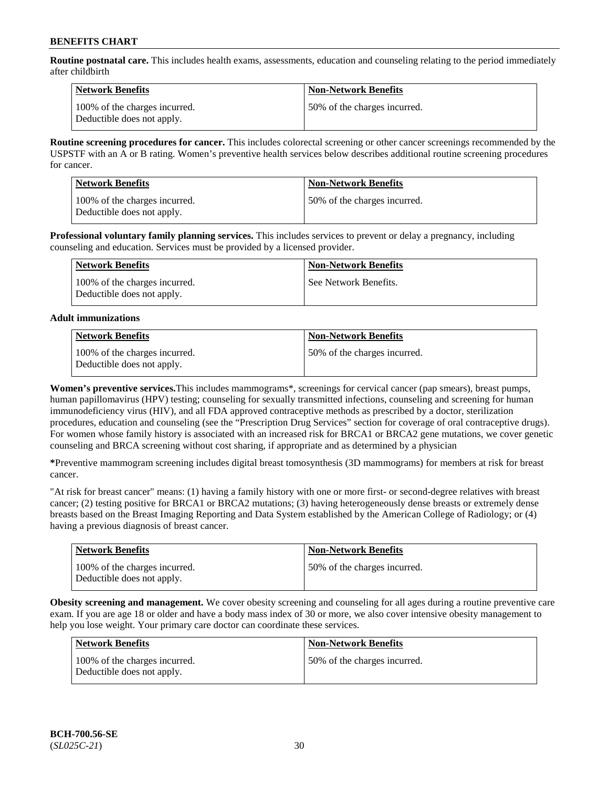**Routine postnatal care.** This includes health exams, assessments, education and counseling relating to the period immediately after childbirth

| Network Benefits                                            | <b>Non-Network Benefits</b>  |
|-------------------------------------------------------------|------------------------------|
| 100% of the charges incurred.<br>Deductible does not apply. | 50% of the charges incurred. |

**Routine screening procedures for cancer.** This includes colorectal screening or other cancer screenings recommended by the USPSTF with an A or B rating. Women's preventive health services below describes additional routine screening procedures for cancer.

| <b>Network Benefits</b>                                     | <b>Non-Network Benefits</b>  |
|-------------------------------------------------------------|------------------------------|
| 100% of the charges incurred.<br>Deductible does not apply. | 50% of the charges incurred. |

**Professional voluntary family planning services.** This includes services to prevent or delay a pregnancy, including counseling and education. Services must be provided by a licensed provider.

| Network Benefits                                            | <b>Non-Network Benefits</b> |
|-------------------------------------------------------------|-----------------------------|
| 100% of the charges incurred.<br>Deductible does not apply. | See Network Benefits.       |

#### **Adult immunizations**

| <b>Network Benefits</b>                                     | <b>Non-Network Benefits</b>  |
|-------------------------------------------------------------|------------------------------|
| 100% of the charges incurred.<br>Deductible does not apply. | 50% of the charges incurred. |

**Women's preventive services.**This includes mammograms\*, screenings for cervical cancer (pap smears), breast pumps, human papillomavirus (HPV) testing; counseling for sexually transmitted infections, counseling and screening for human immunodeficiency virus (HIV), and all FDA approved contraceptive methods as prescribed by a doctor, sterilization procedures, education and counseling (see the "Prescription Drug Services" section for coverage of oral contraceptive drugs). For women whose family history is associated with an increased risk for BRCA1 or BRCA2 gene mutations, we cover genetic counseling and BRCA screening without cost sharing, if appropriate and as determined by a physician

**\***Preventive mammogram screening includes digital breast tomosynthesis (3D mammograms) for members at risk for breast cancer.

"At risk for breast cancer" means: (1) having a family history with one or more first- or second-degree relatives with breast cancer; (2) testing positive for BRCA1 or BRCA2 mutations; (3) having heterogeneously dense breasts or extremely dense breasts based on the Breast Imaging Reporting and Data System established by the American College of Radiology; or (4) having a previous diagnosis of breast cancer.

| <b>Network Benefits</b>                                     | <b>Non-Network Benefits</b>  |
|-------------------------------------------------------------|------------------------------|
| 100% of the charges incurred.<br>Deductible does not apply. | 50% of the charges incurred. |

**Obesity screening and management.** We cover obesity screening and counseling for all ages during a routine preventive care exam. If you are age 18 or older and have a body mass index of 30 or more, we also cover intensive obesity management to help you lose weight. Your primary care doctor can coordinate these services.

| <b>Network Benefits</b>                                     | <b>Non-Network Benefits</b>  |
|-------------------------------------------------------------|------------------------------|
| 100% of the charges incurred.<br>Deductible does not apply. | 50% of the charges incurred. |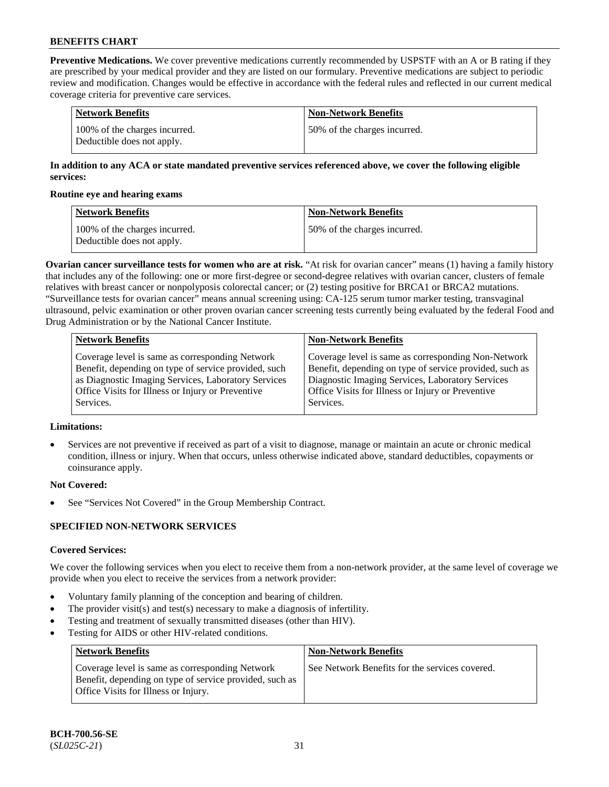**Preventive Medications.** We cover preventive medications currently recommended by USPSTF with an A or B rating if they are prescribed by your medical provider and they are listed on our formulary. Preventive medications are subject to periodic review and modification. Changes would be effective in accordance with the federal rules and reflected in our current medical coverage criteria for preventive care services.

| Network Benefits                                            | <b>Non-Network Benefits</b>  |
|-------------------------------------------------------------|------------------------------|
| 100% of the charges incurred.<br>Deductible does not apply. | 50% of the charges incurred. |

### **In addition to any ACA or state mandated preventive services referenced above, we cover the following eligible services:**

#### **Routine eye and hearing exams**

| <b>Network Benefits</b>                                     | <b>Non-Network Benefits</b>  |
|-------------------------------------------------------------|------------------------------|
| 100% of the charges incurred.<br>Deductible does not apply. | 50% of the charges incurred. |

**Ovarian cancer surveillance tests for women who are at risk.** "At risk for ovarian cancer" means (1) having a family history that includes any of the following: one or more first-degree or second-degree relatives with ovarian cancer, clusters of female relatives with breast cancer or nonpolyposis colorectal cancer; or (2) testing positive for BRCA1 or BRCA2 mutations. "Surveillance tests for ovarian cancer" means annual screening using: CA-125 serum tumor marker testing, transvaginal ultrasound, pelvic examination or other proven ovarian cancer screening tests currently being evaluated by the federal Food and Drug Administration or by the National Cancer Institute.

| <b>Network Benefits</b>                              | <b>Non-Network Benefits</b>                             |
|------------------------------------------------------|---------------------------------------------------------|
| Coverage level is same as corresponding Network      | Coverage level is same as corresponding Non-Network     |
| Benefit, depending on type of service provided, such | Benefit, depending on type of service provided, such as |
| as Diagnostic Imaging Services, Laboratory Services  | Diagnostic Imaging Services, Laboratory Services        |
| Office Visits for Illness or Injury or Preventive    | Office Visits for Illness or Injury or Preventive       |
| Services.                                            | Services.                                               |

### **Limitations:**

• Services are not preventive if received as part of a visit to diagnose, manage or maintain an acute or chronic medical condition, illness or injury. When that occurs, unless otherwise indicated above, standard deductibles, copayments or coinsurance apply.

### **Not Covered:**

See "Services Not Covered" in the Group Membership Contract.

### **SPECIFIED NON-NETWORK SERVICES**

### **Covered Services:**

We cover the following services when you elect to receive them from a non-network provider, at the same level of coverage we provide when you elect to receive the services from a network provider:

- Voluntary family planning of the conception and bearing of children.
- The provider visit(s) and test(s) necessary to make a diagnosis of infertility.
- Testing and treatment of sexually transmitted diseases (other than HIV).
- Testing for AIDS or other HIV-related conditions.

| <b>Network Benefits</b>                                                                                                                            | <b>Non-Network Benefits</b>                    |
|----------------------------------------------------------------------------------------------------------------------------------------------------|------------------------------------------------|
| Coverage level is same as corresponding Network<br>Benefit, depending on type of service provided, such as<br>Office Visits for Illness or Injury. | See Network Benefits for the services covered. |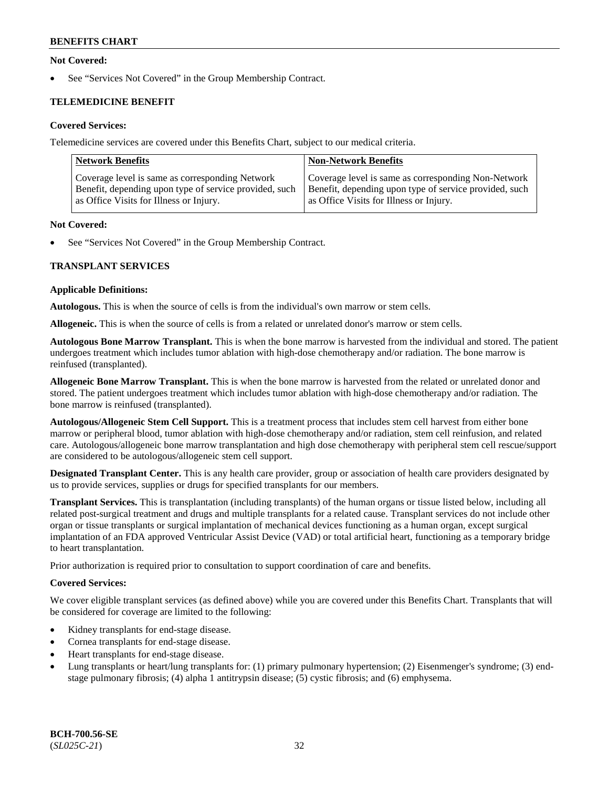### **Not Covered:**

See "Services Not Covered" in the Group Membership Contract.

## **TELEMEDICINE BENEFIT**

### **Covered Services:**

Telemedicine services are covered under this Benefits Chart, subject to our medical criteria.

| <b>Network Benefits</b>                                | <b>Non-Network Benefits</b>                            |
|--------------------------------------------------------|--------------------------------------------------------|
| Coverage level is same as corresponding Network        | Coverage level is same as corresponding Non-Network    |
| Benefit, depending upon type of service provided, such | Benefit, depending upon type of service provided, such |
| as Office Visits for Illness or Injury.                | as Office Visits for Illness or Injury.                |

#### **Not Covered:**

See "Services Not Covered" in the Group Membership Contract.

### **TRANSPLANT SERVICES**

#### **Applicable Definitions:**

**Autologous.** This is when the source of cells is from the individual's own marrow or stem cells.

**Allogeneic.** This is when the source of cells is from a related or unrelated donor's marrow or stem cells.

**Autologous Bone Marrow Transplant.** This is when the bone marrow is harvested from the individual and stored. The patient undergoes treatment which includes tumor ablation with high-dose chemotherapy and/or radiation. The bone marrow is reinfused (transplanted).

**Allogeneic Bone Marrow Transplant.** This is when the bone marrow is harvested from the related or unrelated donor and stored. The patient undergoes treatment which includes tumor ablation with high-dose chemotherapy and/or radiation. The bone marrow is reinfused (transplanted).

**Autologous/Allogeneic Stem Cell Support.** This is a treatment process that includes stem cell harvest from either bone marrow or peripheral blood, tumor ablation with high-dose chemotherapy and/or radiation, stem cell reinfusion, and related care. Autologous/allogeneic bone marrow transplantation and high dose chemotherapy with peripheral stem cell rescue/support are considered to be autologous/allogeneic stem cell support.

**Designated Transplant Center.** This is any health care provider, group or association of health care providers designated by us to provide services, supplies or drugs for specified transplants for our members.

**Transplant Services.** This is transplantation (including transplants) of the human organs or tissue listed below, including all related post-surgical treatment and drugs and multiple transplants for a related cause. Transplant services do not include other organ or tissue transplants or surgical implantation of mechanical devices functioning as a human organ, except surgical implantation of an FDA approved Ventricular Assist Device (VAD) or total artificial heart, functioning as a temporary bridge to heart transplantation.

Prior authorization is required prior to consultation to support coordination of care and benefits.

### **Covered Services:**

We cover eligible transplant services (as defined above) while you are covered under this Benefits Chart. Transplants that will be considered for coverage are limited to the following:

- Kidney transplants for end-stage disease.
- Cornea transplants for end-stage disease.
- Heart transplants for end-stage disease.
- Lung transplants or heart/lung transplants for: (1) primary pulmonary hypertension; (2) Eisenmenger's syndrome; (3) endstage pulmonary fibrosis; (4) alpha 1 antitrypsin disease; (5) cystic fibrosis; and (6) emphysema.